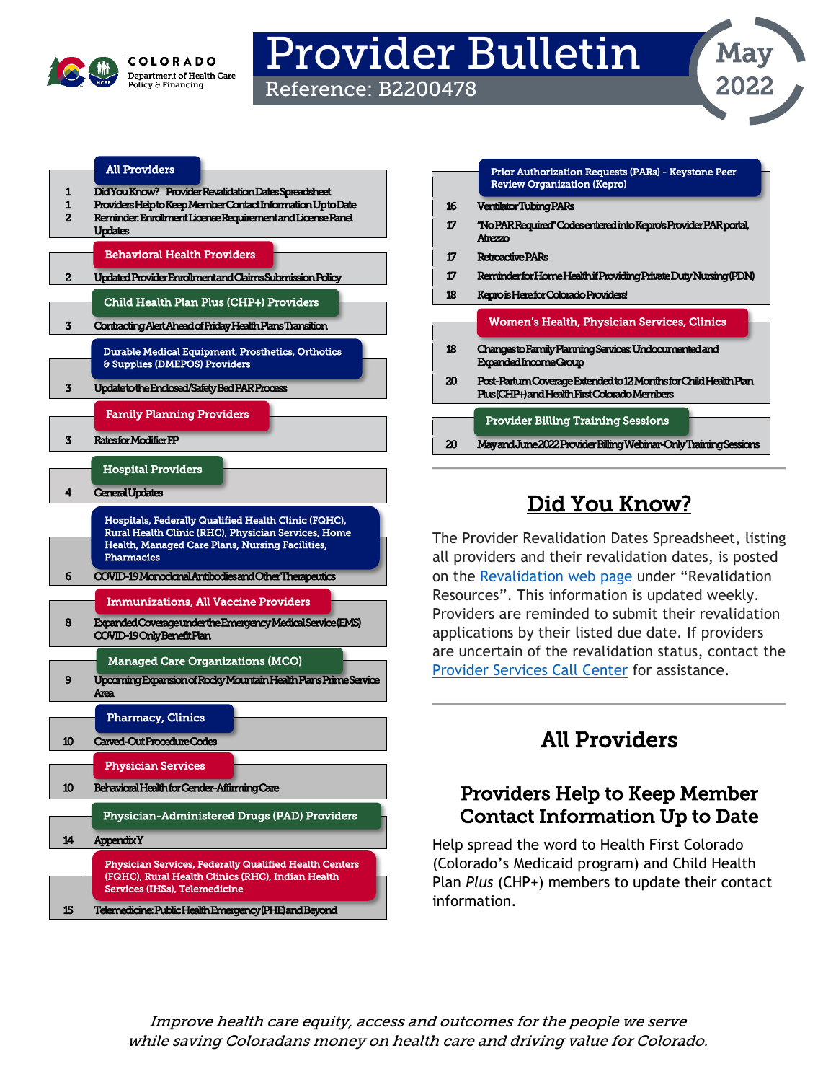

# Provider Bulletin

Reference: B2200478

|                          | <b>All Providers</b>                                                                                                                                                                                                                        |
|--------------------------|---------------------------------------------------------------------------------------------------------------------------------------------------------------------------------------------------------------------------------------------|
| 1<br>1<br>$\overline{c}$ | Did You Know? Provider Revalidation Dates Spreadsheet<br>Providers Helpto Keep Member Contact Information Up to Date<br>Reminder: Enrollment License Requirement and License Panel<br>Updates                                               |
|                          | <b>Behavioral Health Providers</b>                                                                                                                                                                                                          |
| 2                        | Updated Provider Enrollment and Claims Submission Policy                                                                                                                                                                                    |
|                          | Child Health Plan Plus (CHP+) Providers                                                                                                                                                                                                     |
| 3                        | Contracting Alert Ahead of Friday Health Plans Transition                                                                                                                                                                                   |
|                          | Durable Medical Equipment, Prosthetics, Orthotics<br>& Supplies (DMEPOS) Providers                                                                                                                                                          |
| 3                        | <b>Update to the Enclosed/Safety Bed PAR Process</b>                                                                                                                                                                                        |
|                          | <b>Family Planning Providers</b>                                                                                                                                                                                                            |
| 3                        | <b>Ratesfor Modifier FP</b>                                                                                                                                                                                                                 |
|                          | <b>Hospital Providers</b>                                                                                                                                                                                                                   |
| 4                        | <b>General Updates</b>                                                                                                                                                                                                                      |
| 6                        | Hospitals, Federally Qualified Health Clinic (FQHC),<br>Rural Health Clinic (RHC), Physician Services, Home<br>Health, Managed Care Plans, Nursing Facilities,<br><b>Pharmacies</b><br>COVID-19 Monodonal Antibodies and Other Therapeutics |
|                          | <b>Immunizations, All Vaccine Providers</b>                                                                                                                                                                                                 |
| 8                        | Expanded Coverage under the Emergency Medical Service (EMS)<br><b>COVID-19 Only Benefit Plan</b>                                                                                                                                            |
|                          | <b>Managed Care Organizations (MCO)</b>                                                                                                                                                                                                     |
| 9                        | Upcoming Expansion of Rocky Mountain Health Plans Prime Service<br>Area                                                                                                                                                                     |
|                          | <b>Pharmacy, Clinics</b>                                                                                                                                                                                                                    |
| 10                       | Carved-OutProcedureCodes                                                                                                                                                                                                                    |
|                          | <b>Physician Services</b>                                                                                                                                                                                                                   |
| 10                       | Behavioral Health for Gender-Affirming Care                                                                                                                                                                                                 |
|                          | Physician-Administered Drugs (PAD) Providers                                                                                                                                                                                                |
| 14                       | <b>Appendix Y</b>                                                                                                                                                                                                                           |
|                          | <b>Physician Services, Federally Qualified Health Centers</b><br>(FQHC), Rural Health Clinics (RHC), Indian Health<br><b>Services (IHSs), Telemedicine</b>                                                                                  |
| 15                       | Telemedicine: Public Health Emergency (PHE) and Beyond                                                                                                                                                                                      |

|    | <b>Prior Authorization Requests (PARs) - Keystone Peer</b><br><b>Review Organization (Kepro)</b>                  |
|----|-------------------------------------------------------------------------------------------------------------------|
| 16 | <b>Ventilator Tubing PARs</b>                                                                                     |
| 17 | "No PAR Required" Codes entered into Kepro's Provider PAR portal,<br>Atrezzo                                      |
| 17 | <b>Retroactive PARs</b>                                                                                           |
| 17 | Reminderfor Home Health if Providing Private Duty Nursing (PDN)                                                   |
| 18 | Kepro is Here for Colorado Providers!                                                                             |
|    | Women's Health, Physician Services, Clinics                                                                       |
| 18 | Changesto Family Planning Services Undocumented and<br>Expanded Income Group                                      |
| 20 | Post-Partum Coverage Extended to 12 Months for Child Health Plan<br>Plus (CHP+) and Health First Colorado Members |
|    |                                                                                                                   |
|    | <b>Provider Billing Training Sessions</b>                                                                         |
| 20 | Mayand June 2022 Provider Billing Webinar-Only Training Sessions                                                  |
|    |                                                                                                                   |

May

2022

# Did You Know?

<span id="page-0-0"></span>The Provider Revalidation Dates Spreadsheet, listing all providers and their revalidation dates, is posted on the [Revalidation web page](https://hcpf.colorado.gov/revalidation) under "Revalidation Resources". This information is updated weekly. Providers are reminded to submit their revalidation applications by their listed due date. If providers are uncertain of the revalidation status, contact the [Provider Services Call Center](https://hcpf.colorado.gov/provider-help) for assistance.

# All Providers

### <span id="page-0-2"></span><span id="page-0-1"></span>Providers Help to Keep Member Contact Information Up to Date

Help spread the word to Health First Colorado (Colorado's Medicaid program) and Child Health Plan *Plus* (CHP+) members to update their contact information.

Improve health care equity, access and outcomes for the people we serve while saving Coloradans money on health care and driving value for Colorado.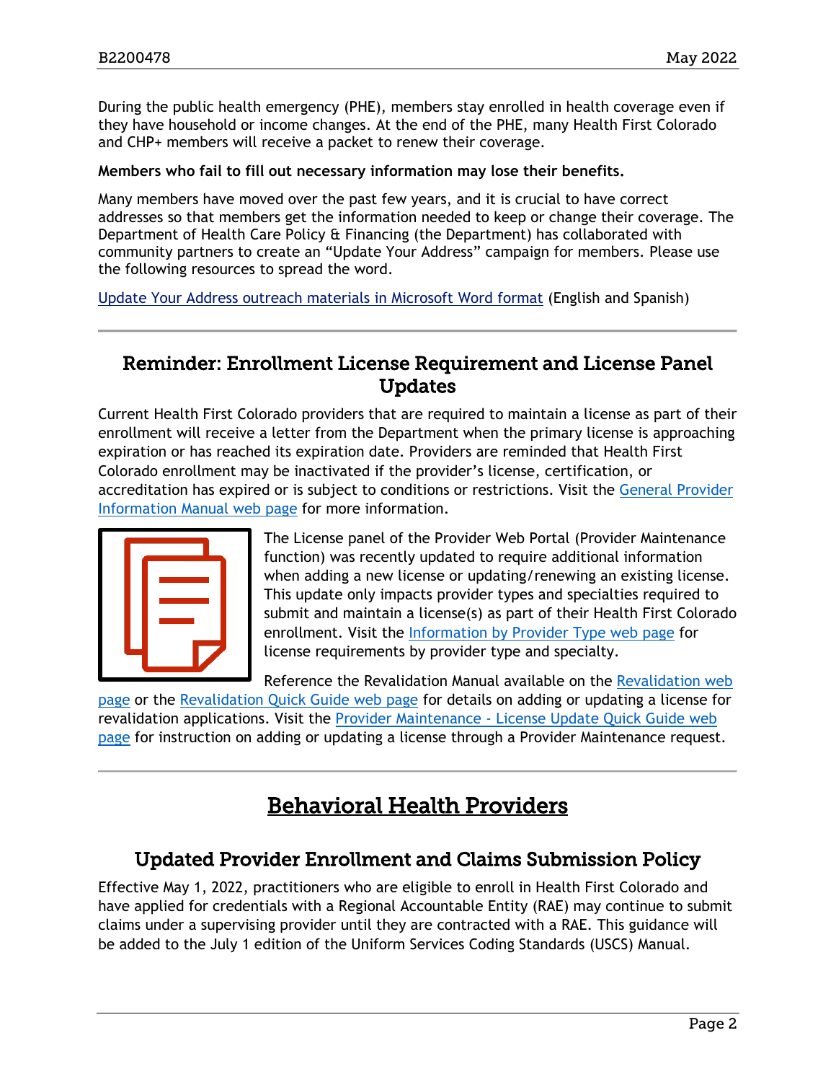During the public health emergency (PHE), members stay enrolled in health coverage even if they have household or income changes. At the end of the PHE, many Health First Colorado and CHP+ members will receive a packet to renew their coverage.

#### **Members who fail to fill out necessary information may lose their benefits.**

Many members have moved over the past few years, and it is crucial to have correct addresses so that members get the information needed to keep or change their coverage. The Department of Health Care Policy & Financing (the Department) has collaborated with community partners to create an "Update Your Address" campaign for members. Please use the following resources to spread the word.

[Update Your Address outreach materials in Microsoft Word format](https://hcpf.colorado.gov/sites/hcpf/files/UYA%20Provider%20Outreach%20Graphics%20-%20MS%20Word.zip) (English and Spanish)

### <span id="page-1-0"></span>Reminder: Enrollment License Requirement and License Panel Updates

Current Health First Colorado providers that are required to maintain a license as part of their enrollment will receive a letter from the Department when the primary license is approaching expiration or has reached its expiration date. Providers are reminded that Health First Colorado enrollment may be inactivated if the provider's license, certification, or accreditation has expired or is subject to conditions or restrictions. Visit the [General Provider](https://hcpf.colorado.gov/gen-info-manual#inactEnroll)  [Information Manual web page](https://hcpf.colorado.gov/gen-info-manual#inactEnroll) for more information.



The License panel of the Provider Web Portal (Provider Maintenance function) was recently updated to require additional information when adding a new license or updating/renewing an existing license. This update only impacts provider types and specialties required to submit and maintain a license(s) as part of their Health First Colorado enrollment. Visit the [Information by Provider Type web page](https://hcpf.colorado.gov/find-your-provider-type) for license requirements by provider type and specialty.

Reference the Revalidation Manual available on the [Revalidation web](https://hcpf.colorado.gov/revalidation) 

[page](https://hcpf.colorado.gov/revalidation) or the [Revalidation Quick Guide web page](https://hcpf.colorado.gov/reval-quick-guide) for details on adding or updating a license for revalidation applications. Visit the [Provider Maintenance - License Update Quick Guide web](https://hcpf.colorado.gov/update-license)  [page](https://hcpf.colorado.gov/update-license) for instruction on adding or updating a license through a Provider Maintenance request.

# Behavioral Health Providers

### <span id="page-1-2"></span><span id="page-1-1"></span>Updated Provider Enrollment and Claims Submission Policy

Effective May 1, 2022, practitioners who are eligible to enroll in Health First Colorado and have applied for credentials with a Regional Accountable Entity (RAE) may continue to submit claims under a supervising provider until they are contracted with a RAE. This guidance will be added to the July 1 edition of the Uniform Services Coding Standards (USCS) Manual.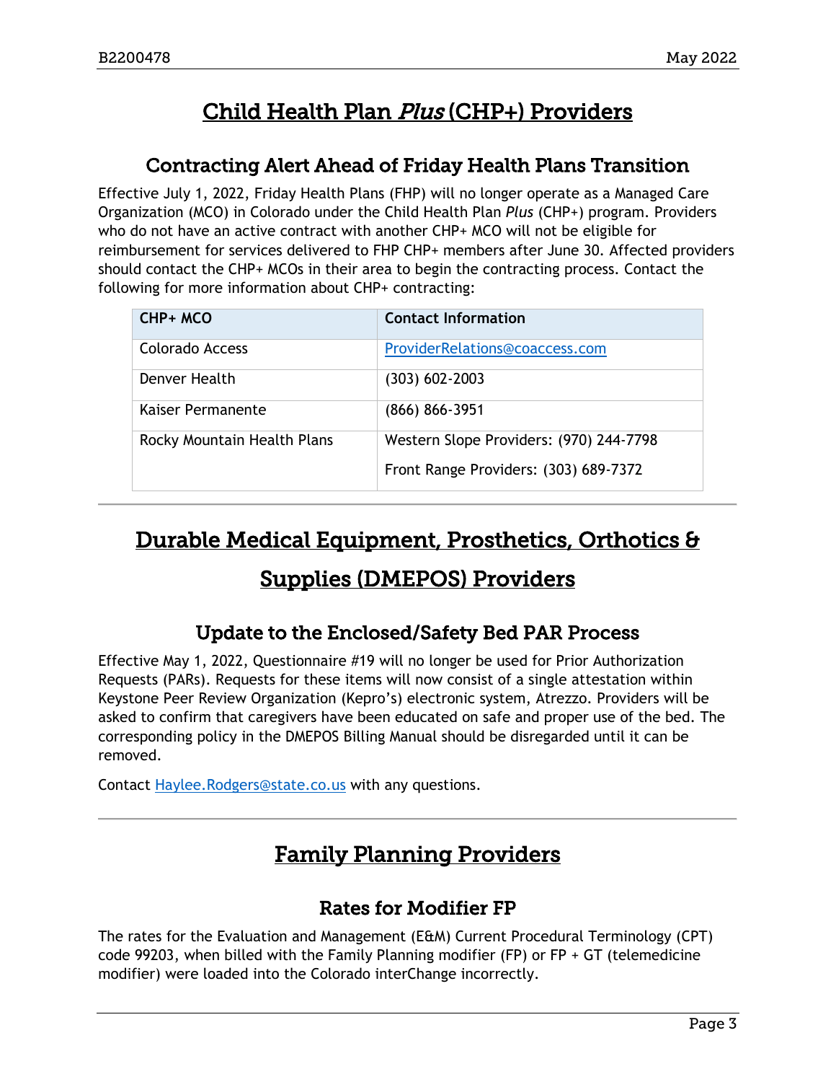# Child Health Plan Plus (CHP+) Providers

# <span id="page-2-5"></span>Contracting Alert Ahead of Friday Health Plans Transition

<span id="page-2-0"></span>Effective July 1, 2022, Friday Health Plans (FHP) will no longer operate as a Managed Care Organization (MCO) in Colorado under the Child Health Plan *Plus* (CHP+) program. Providers who do not have an active contract with another CHP+ MCO will not be eligible for reimbursement for services delivered to FHP CHP+ members after June 30. Affected providers should contact the CHP+ MCOs in their area to begin the contracting process. Contact the following for more information about CHP+ contracting:

| CHP+ MCO                    | <b>Contact Information</b>              |
|-----------------------------|-----------------------------------------|
| Colorado Access             | ProviderRelations@coaccess.com          |
| Denver Health               | (303) 602-2003                          |
| Kaiser Permanente           | (866) 866-3951                          |
| Rocky Mountain Health Plans | Western Slope Providers: (970) 244-7798 |
|                             | Front Range Providers: (303) 689-7372   |

# <span id="page-2-4"></span>Durable Medical Equipment, Prosthetics, Orthotics &

# Supplies (DMEPOS) Providers

# Update to the Enclosed/Safety Bed PAR Process

<span id="page-2-1"></span>Effective May 1, 2022, Questionnaire #19 will no longer be used for Prior Authorization Requests (PARs). Requests for these items will now consist of a single attestation within Keystone Peer Review Organization (Kepro's) electronic system, Atrezzo. Providers will be asked to confirm that caregivers have been educated on safe and proper use of the bed. The corresponding policy in the DMEPOS Billing Manual should be disregarded until it can be removed.

<span id="page-2-3"></span>Contact [Haylee.Rodgers@state.co.us](mailto:Haylee.Rodgers@state.co.us) with any questions.

# Family Planning Providers

# Rates for Modifier FP

<span id="page-2-2"></span>The rates for the Evaluation and Management (E&M) Current Procedural Terminology (CPT) code 99203, when billed with the Family Planning modifier (FP) or  $FP + GT$  (telemedicine modifier) were loaded into the Colorado interChange incorrectly.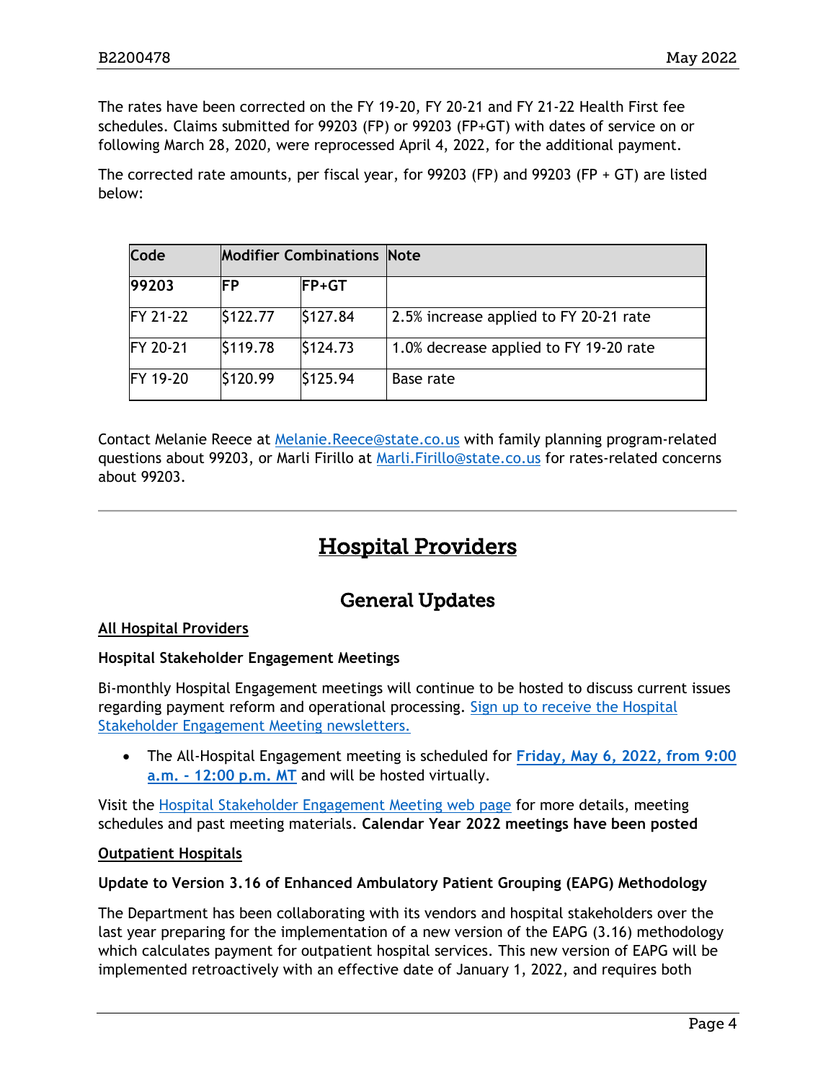The rates have been corrected on the FY 19-20, FY 20-21 and FY 21-22 Health First fee schedules. Claims submitted for 99203 (FP) or 99203 (FP+GT) with dates of service on or following March 28, 2020, were reprocessed April 4, 2022, for the additional payment.

The corrected rate amounts, per fiscal year, for 99203 (FP) and 99203 (FP  $+$  GT) are listed below:

| <b>Code</b>      | <b>Modifier Combinations Note</b> |               |                                        |
|------------------|-----------------------------------|---------------|----------------------------------------|
| 99203            | ΙFΡ                               | <b>IFP+GT</b> |                                        |
| <b>FY 21-22</b>  | \$122.77                          | \$127.84      | 2.5% increase applied to FY 20-21 rate |
| <b>IFY 20-21</b> | \$119.78                          | \$124.73      | 1.0% decrease applied to FY 19-20 rate |
| FY 19-20         | \$120.99                          | \$125.94      | Base rate                              |

Contact Melanie Reece at [Melanie.Reece@state.co.us](mailto:Melanie.Reece@state.co.us) with family planning program-related questions about 99203, or Marli Firillo at [Marli.Firillo@state.co.us](mailto:Marli.Firillo@state.co.us) for rates-related concerns about 99203.

# Hospital Providers

### General Updates

#### <span id="page-3-1"></span><span id="page-3-0"></span>**All Hospital Providers**

#### **Hospital Stakeholder Engagement Meetings**

Bi-monthly Hospital Engagement meetings will continue to be hosted to discuss current issues regarding payment reform and operational processing. [Sign up to receive the Hospital](https://visitor.r20.constantcontact.com/manage/optin?v=001HfxrbpGNWZ0lZnPp6t3PG2s9XPNl8ZvgFdjsKvSnhIy8z9JmHyp6DeoLJ3saT6x0SeqRR1ub149uoXxe1ok4jTzfMSQ0BN7S5vcLiRO7gdY%3D)  [Stakeholder Engagement Meeting newsletters.](https://visitor.r20.constantcontact.com/manage/optin?v=001HfxrbpGNWZ0lZnPp6t3PG2s9XPNl8ZvgFdjsKvSnhIy8z9JmHyp6DeoLJ3saT6x0SeqRR1ub149uoXxe1ok4jTzfMSQ0BN7S5vcLiRO7gdY%3D)

• The All-Hospital Engagement meeting is scheduled for **[Friday, May 6, 2022, from 9:00](https://hcpf.colorado.gov/hospital-stakeholder-engagement-meetings)  [a.m. - 12:00 p.m.](https://hcpf.colorado.gov/hospital-stakeholder-engagement-meetings) MT** and will be hosted virtually.

Visit the [Hospital Stakeholder Engagement Meeting web page](https://hcpf.colorado.gov/hospital-stakeholder-engagement-meetings) for more details, meeting schedules and past meeting materials. **Calendar Year 2022 meetings have been posted**

#### **Outpatient Hospitals**

#### **Update to Version 3.16 of Enhanced Ambulatory Patient Grouping (EAPG) Methodology**

The Department has been collaborating with its vendors and hospital stakeholders over the last year preparing for the implementation of a new version of the EAPG (3.16) methodology which calculates payment for outpatient hospital services. This new version of EAPG will be implemented retroactively with an effective date of January 1, 2022, and requires both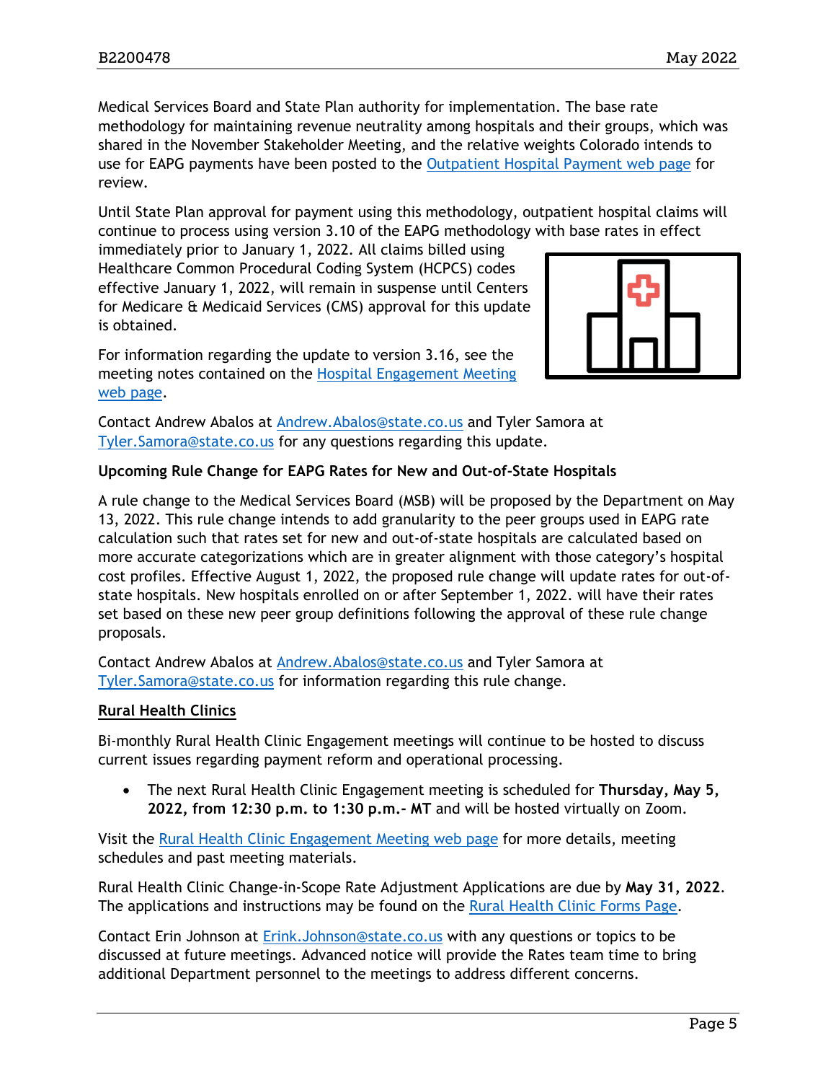Medical Services Board and State Plan authority for implementation. The base rate methodology for maintaining revenue neutrality among hospitals and their groups, which was shared in the November Stakeholder Meeting, and the relative weights Colorado intends to use for EAPG payments have been posted to the [Outpatient Hospital Payment web page](https://hcpf.colorado.gov/outpatient-hospital-payment) for review.

Until State Plan approval for payment using this methodology, outpatient hospital claims will continue to process using version 3.10 of the EAPG methodology with base rates in effect

immediately prior to January 1, 2022. All claims billed using Healthcare Common Procedural Coding System (HCPCS) codes effective January 1, 2022, will remain in suspense until Centers for Medicare & Medicaid Services (CMS) approval for this update is obtained.



For information regarding the update to version 3.16, see the meeting notes contained on the [Hospital Engagement Meeting](https://hcpf.colorado.gov/hospital-stakeholder-engagement-meetings)  [web page.](https://hcpf.colorado.gov/hospital-stakeholder-engagement-meetings)

Contact Andrew Abalos at [Andrew.Abalos@state.co.us](mailto:Andrew.Abalos@state.co.us) and Tyler Samora at [Tyler.Samora@state.co.us](mailto:Tyler.Samora@state.co.us) for any questions regarding this update.

#### **Upcoming Rule Change for EAPG Rates for New and Out-of-State Hospitals**

A rule change to the Medical Services Board (MSB) will be proposed by the Department on May 13, 2022. This rule change intends to add granularity to the peer groups used in EAPG rate calculation such that rates set for new and out-of-state hospitals are calculated based on more accurate categorizations which are in greater alignment with those category's hospital cost profiles. Effective August 1, 2022, the proposed rule change will update rates for out-ofstate hospitals. New hospitals enrolled on or after September 1, 2022. will have their rates set based on these new peer group definitions following the approval of these rule change proposals.

Contact Andrew Abalos at [Andrew.Abalos@state.co.us](mailto:Andrew.Abalos@state.co.us) and Tyler Samora at [Tyler.Samora@state.co.us](mailto:Tyler.Samora@state.co.us) for information regarding this rule change.

#### **Rural Health Clinics**

Bi-monthly Rural Health Clinic Engagement meetings will continue to be hosted to discuss current issues regarding payment reform and operational processing.

• The next Rural Health Clinic Engagement meeting is scheduled for **Thursday, May 5, 2022, from 12:30 p.m. to 1:30 p.m.- MT** and will be hosted virtually on Zoom.

Visit the [Rural Health Clinic Engagement Meeting web page](https://hcpf.colorado.gov/rural-hospital-and-rural-health-clinics) for more details, meeting schedules and past meeting materials.

Rural Health Clinic Change-in-Scope Rate Adjustment Applications are due by **May 31, 2022**. The applications and instructions may be found on the [Rural Health Clinic Forms Page.](https://hcpf.colorado.gov/rural-health-clinic-forms)

Contact Erin Johnson at [Erink.Johnson@state.co.us](mailto:Erink.Johnson@state.co.us) with any questions or topics to be discussed at future meetings. Advanced notice will provide the Rates team time to bring additional Department personnel to the meetings to address different concerns.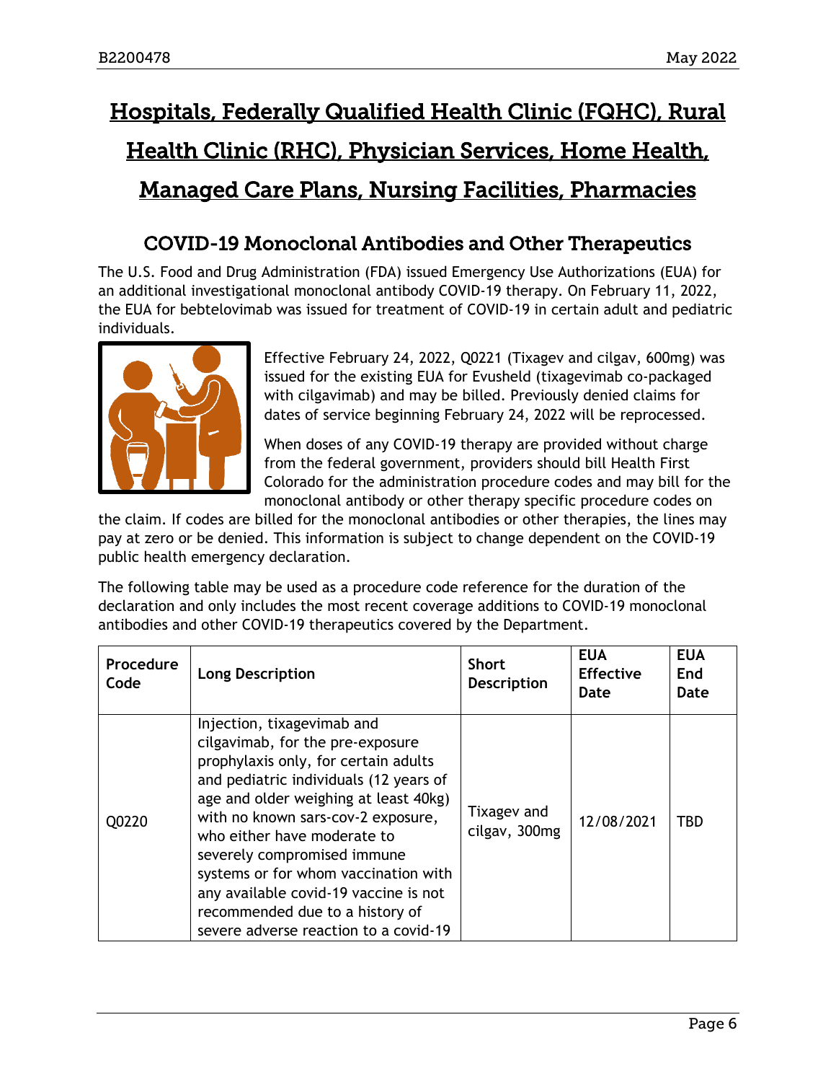# <span id="page-5-1"></span>Hospitals, Federally Qualified Health Clinic (FQHC), Rural Health Clinic (RHC), Physician Services, Home Health, Managed Care Plans, Nursing Facilities, Pharmacies

# COVID-19 Monoclonal Antibodies and Other Therapeutics

<span id="page-5-0"></span>The U.S. Food and Drug Administration (FDA) issued Emergency Use Authorizations (EUA) for an additional investigational monoclonal antibody COVID-19 therapy. On February 11, 2022, the EUA for bebtelovimab was issued for treatment of COVID-19 in certain adult and pediatric individuals.



Effective February 24, 2022, Q0221 (Tixagev and cilgav, 600mg) was issued for the existing EUA for Evusheld (tixagevimab co-packaged with cilgavimab) and may be billed. Previously denied claims for dates of service beginning February 24, 2022 will be reprocessed.

When doses of any COVID-19 therapy are provided without charge from the federal government, providers should bill Health First Colorado for the administration procedure codes and may bill for the monoclonal antibody or other therapy specific procedure codes on

the claim. If codes are billed for the monoclonal antibodies or other therapies, the lines may pay at zero or be denied. This information is subject to change dependent on the COVID-19 public health emergency declaration.

The following table may be used as a procedure code reference for the duration of the declaration and only includes the most recent coverage additions to COVID-19 monoclonal antibodies and other COVID-19 therapeutics covered by the Department.

| Procedure<br>Code | <b>Long Description</b>                                                                                                                                                                                                                                                                                                                                                                                                                                    | <b>Short</b><br><b>Description</b> | <b>EUA</b><br><b>Effective</b><br>Date | <b>EUA</b><br>End<br>Date |
|-------------------|------------------------------------------------------------------------------------------------------------------------------------------------------------------------------------------------------------------------------------------------------------------------------------------------------------------------------------------------------------------------------------------------------------------------------------------------------------|------------------------------------|----------------------------------------|---------------------------|
| Q0220             | Injection, tixagevimab and<br>cilgavimab, for the pre-exposure<br>prophylaxis only, for certain adults<br>and pediatric individuals (12 years of<br>age and older weighing at least 40kg)<br>with no known sars-cov-2 exposure,<br>who either have moderate to<br>severely compromised immune<br>systems or for whom vaccination with<br>any available covid-19 vaccine is not<br>recommended due to a history of<br>severe adverse reaction to a covid-19 | Tixagev and<br>cilgav, 300mg       | 12/08/2021                             | TBD                       |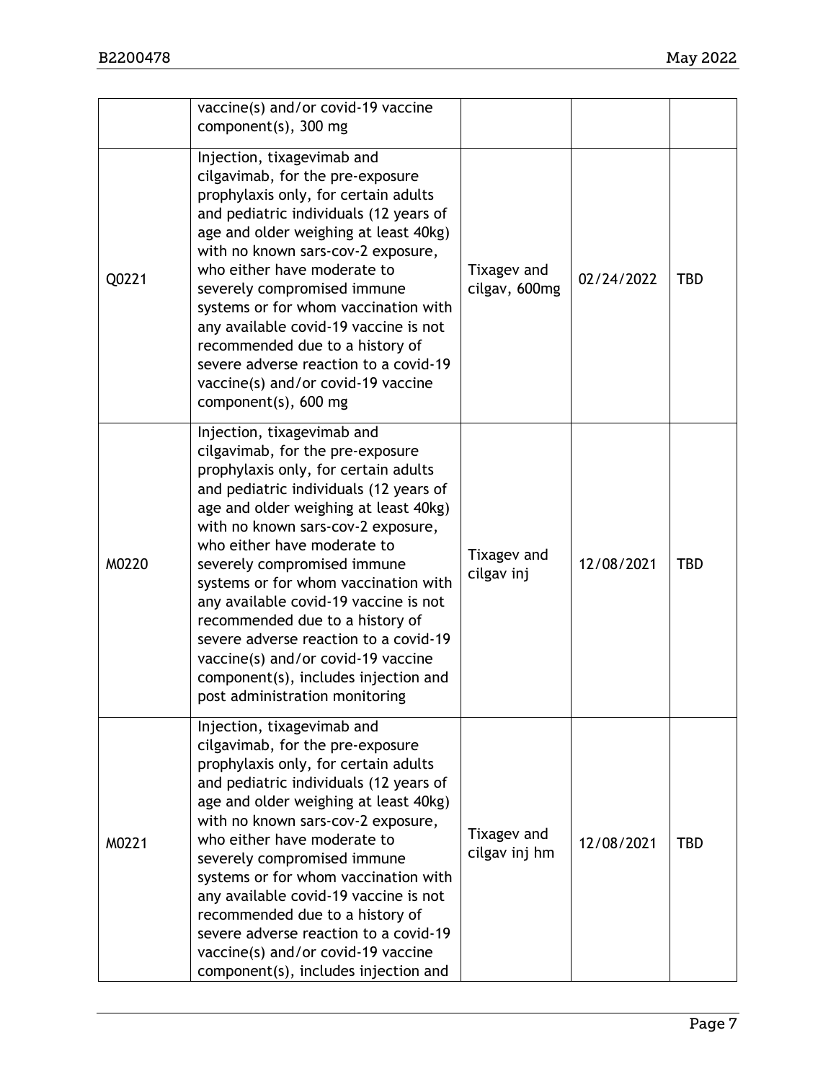|       | vaccine(s) and/or covid-19 vaccine<br>component(s), 300 mg                                                                                                                                                                                                                                                                                                                                                                                                                                                                                                                 |                              |            |            |
|-------|----------------------------------------------------------------------------------------------------------------------------------------------------------------------------------------------------------------------------------------------------------------------------------------------------------------------------------------------------------------------------------------------------------------------------------------------------------------------------------------------------------------------------------------------------------------------------|------------------------------|------------|------------|
| Q0221 | Injection, tixagevimab and<br>cilgavimab, for the pre-exposure<br>prophylaxis only, for certain adults<br>and pediatric individuals (12 years of<br>age and older weighing at least 40kg)<br>with no known sars-cov-2 exposure,<br>who either have moderate to<br>severely compromised immune<br>systems or for whom vaccination with<br>any available covid-19 vaccine is not<br>recommended due to a history of<br>severe adverse reaction to a covid-19<br>vaccine(s) and/or covid-19 vaccine<br>component(s), 600 mg                                                   | Tixagev and<br>cilgav, 600mg | 02/24/2022 | <b>TBD</b> |
| M0220 | Injection, tixagevimab and<br>cilgavimab, for the pre-exposure<br>prophylaxis only, for certain adults<br>and pediatric individuals (12 years of<br>age and older weighing at least 40kg)<br>with no known sars-cov-2 exposure,<br>who either have moderate to<br>severely compromised immune<br>systems or for whom vaccination with<br>any available covid-19 vaccine is not<br>recommended due to a history of<br>severe adverse reaction to a covid-19<br>vaccine(s) and/or covid-19 vaccine<br>component(s), includes injection and<br>post administration monitoring | Tixagev and<br>cilgav inj    | 12/08/2021 | <b>TBD</b> |
| M0221 | Injection, tixagevimab and<br>cilgavimab, for the pre-exposure<br>prophylaxis only, for certain adults<br>and pediatric individuals (12 years of<br>age and older weighing at least 40kg)<br>with no known sars-cov-2 exposure,<br>who either have moderate to<br>severely compromised immune<br>systems or for whom vaccination with<br>any available covid-19 vaccine is not<br>recommended due to a history of<br>severe adverse reaction to a covid-19<br>vaccine(s) and/or covid-19 vaccine<br>component(s), includes injection and                                   | Tixagev and<br>cilgav inj hm | 12/08/2021 | <b>TBD</b> |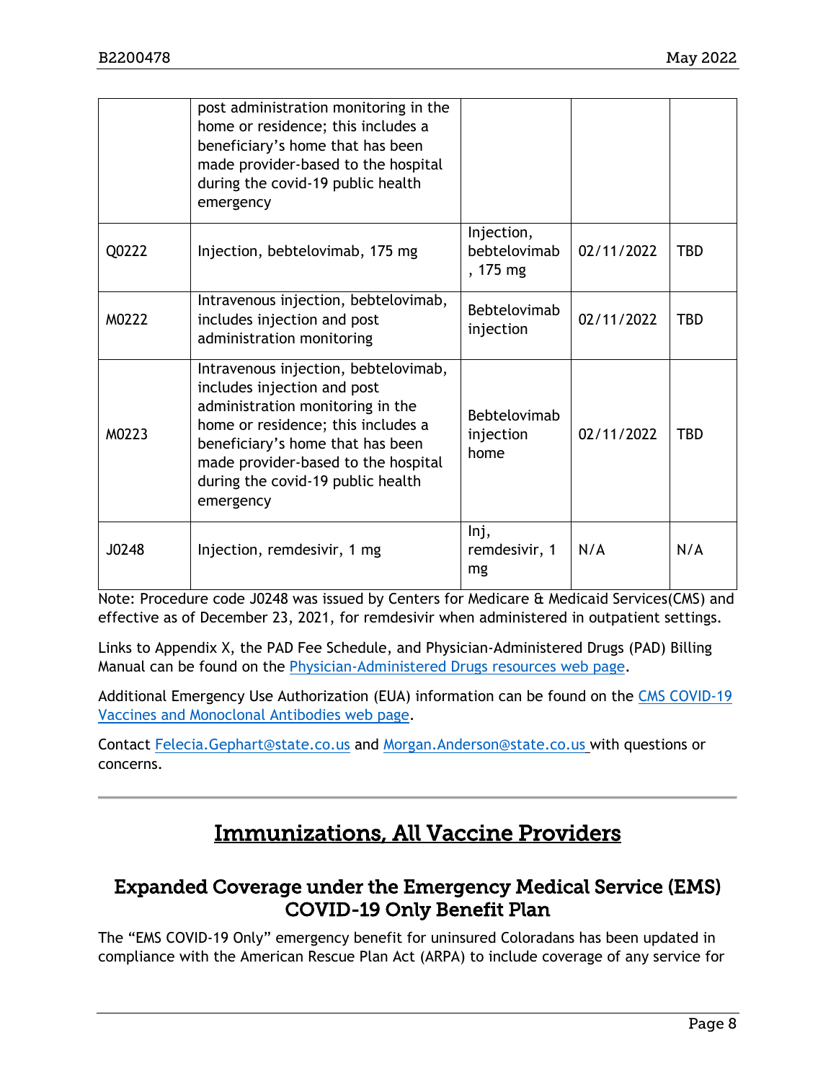|       | post administration monitoring in the<br>home or residence; this includes a<br>beneficiary's home that has been<br>made provider-based to the hospital<br>during the covid-19 public health<br>emergency                                                                   |                                        |            |            |
|-------|----------------------------------------------------------------------------------------------------------------------------------------------------------------------------------------------------------------------------------------------------------------------------|----------------------------------------|------------|------------|
| Q0222 | Injection, bebtelovimab, 175 mg                                                                                                                                                                                                                                            | Injection,<br>bebtelovimab<br>, 175 mg | 02/11/2022 | <b>TBD</b> |
| M0222 | Intravenous injection, bebtelovimab,<br>includes injection and post<br>administration monitoring                                                                                                                                                                           | Bebtelovimab<br>injection              | 02/11/2022 | <b>TBD</b> |
| M0223 | Intravenous injection, bebtelovimab,<br>includes injection and post<br>administration monitoring in the<br>home or residence; this includes a<br>beneficiary's home that has been<br>made provider-based to the hospital<br>during the covid-19 public health<br>emergency | Bebtelovimab<br>injection<br>home      | 02/11/2022 | <b>TBD</b> |
| J0248 | Injection, remdesivir, 1 mg                                                                                                                                                                                                                                                | lnj,<br>remdesivir, 1<br>mg            | N/A        | N/A        |

Note: Procedure code J0248 was issued by Centers for Medicare & Medicaid Services(CMS) and effective as of December 23, 2021, for remdesivir when administered in outpatient settings.

Links to Appendix X, the PAD Fee Schedule, and Physician-Administered Drugs (PAD) Billing Manual can be found on the [Physician-Administered Drugs resources web page.](https://hcpf.colorado.gov/physician-administered-drugs)

Additional Emergency Use Authorization (EUA) information can be found on the [CMS COVID-19](https://www.cms.gov/medicare/medicare-part-b-drug-average-sales-price/covid-19-vaccines-and-monoclonal-antibodies)  [Vaccines and Monoclonal Antibodies web page.](https://www.cms.gov/medicare/medicare-part-b-drug-average-sales-price/covid-19-vaccines-and-monoclonal-antibodies)

Contact [Felecia.Gephart@state.co.us](mailto:Felecia.Gephart@state.co.us) and [Morgan.Anderson@state.co.us](mailto:Morgan.Anderson@state.co.us) with questions or concerns.

# Immunizations, All Vaccine Providers

### <span id="page-7-1"></span><span id="page-7-0"></span>Expanded Coverage under the Emergency Medical Service (EMS) COVID-19 Only Benefit Plan

The "EMS COVID-19 Only" emergency benefit for uninsured Coloradans has been updated in compliance with the American Rescue Plan Act (ARPA) to include coverage of any service for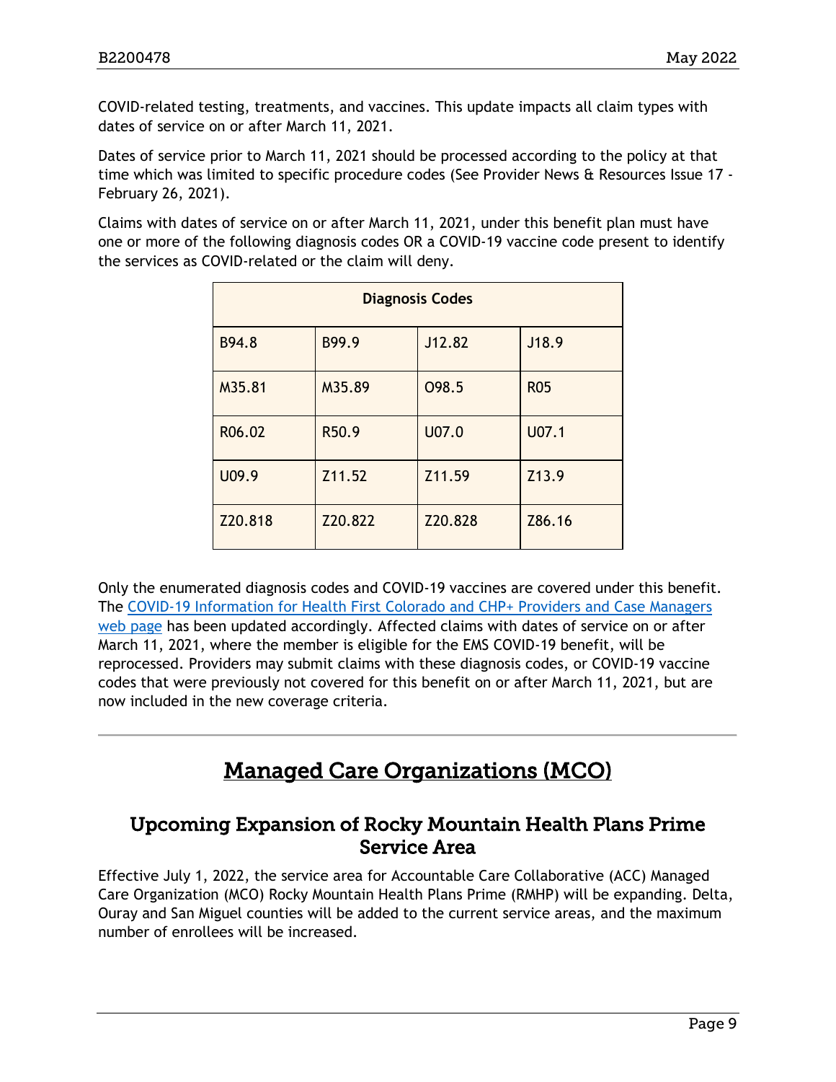COVID-related testing, treatments, and vaccines. This update impacts all claim types with dates of service on or after March 11, 2021.

Dates of service prior to March 11, 2021 should be processed according to the policy at that time which was limited to specific procedure codes (See Provider News & Resources Issue 17 - February 26, 2021).

Claims with dates of service on or after March 11, 2021, under this benefit plan must have one or more of the following diagnosis codes OR a COVID-19 vaccine code present to identify the services as COVID-related or the claim will deny.

| <b>Diagnosis Codes</b> |         |         |            |  |
|------------------------|---------|---------|------------|--|
| B94.8                  | B99.9   | J12.82  | J18.9      |  |
| M35.81                 | M35.89  | 098.5   | <b>R05</b> |  |
| R06.02                 | R50.9   | U07.0   | U07.1      |  |
| U09.9                  | Z11.52  | Z11.59  | Z13.9      |  |
| Z20.818                | Z20.822 | Z20.828 | Z86.16     |  |

Only the enumerated diagnosis codes and COVID-19 vaccines are covered under this benefit. The [COVID-19 Information for Health First Colorado and CHP+ Providers and Case Managers](https://hcpf.colorado.gov/covid-19-provider-information)  [web page](https://hcpf.colorado.gov/covid-19-provider-information) has been updated accordingly. Affected claims with dates of service on or after March 11, 2021, where the member is eligible for the EMS COVID-19 benefit, will be reprocessed. Providers may submit claims with these diagnosis codes, or COVID-19 vaccine codes that were previously not covered for this benefit on or after March 11, 2021, but are now included in the new coverage criteria.

# Managed Care Organizations (MCO)

### <span id="page-8-1"></span><span id="page-8-0"></span>Upcoming Expansion of Rocky Mountain Health Plans Prime Service Area

Effective July 1, 2022, the service area for Accountable Care Collaborative (ACC) Managed Care Organization (MCO) Rocky Mountain Health Plans Prime (RMHP) will be expanding. Delta, Ouray and San Miguel counties will be added to the current service areas, and the maximum number of enrollees will be increased.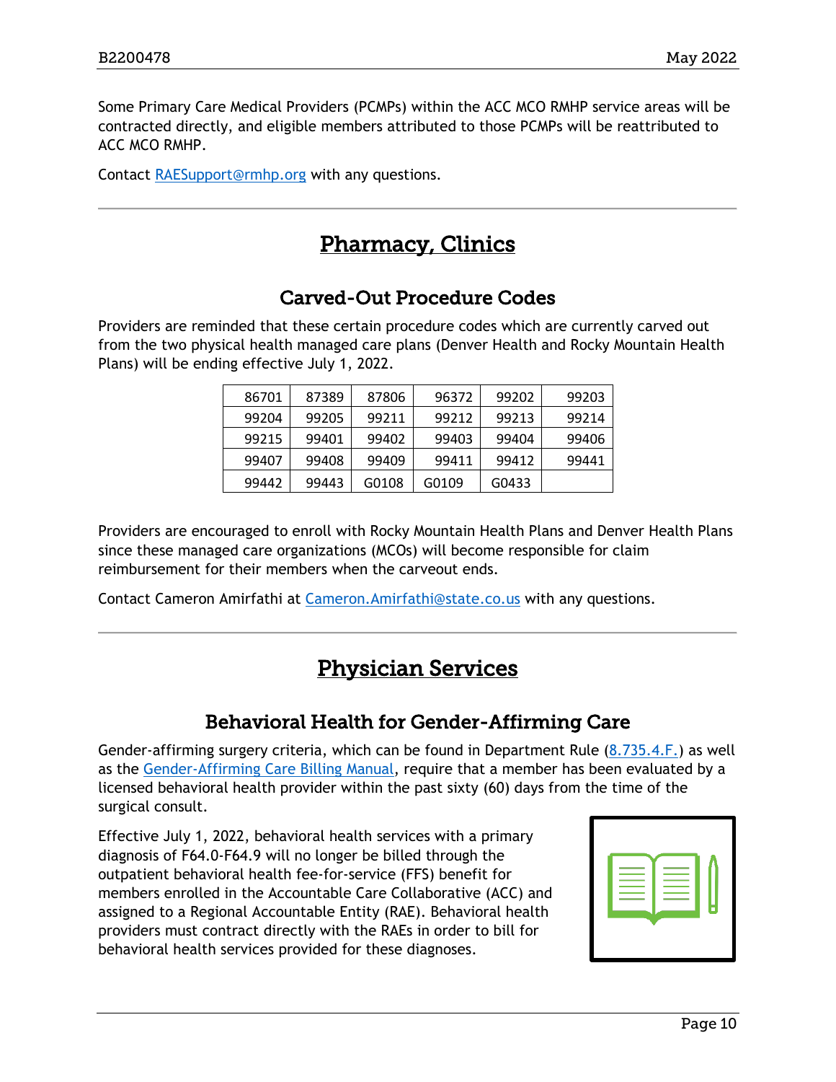Some Primary Care Medical Providers (PCMPs) within the ACC MCO RMHP service areas will be contracted directly, and eligible members attributed to those PCMPs will be reattributed to ACC MCO RMHP.

<span id="page-9-2"></span>Contact [RAESupport@rmhp.org](mailto:RAESupport@rmhp.org) with any questions.

# Pharmacy, Clinics

### Carved-Out Procedure Codes

<span id="page-9-0"></span>Providers are reminded that these certain procedure codes which are currently carved out from the two physical health managed care plans (Denver Health and Rocky Mountain Health Plans) will be ending effective July 1, 2022.

| 86701 | 87389 | 87806 | 96372 | 99202 | 99203 |
|-------|-------|-------|-------|-------|-------|
| 99204 | 99205 | 99211 | 99212 | 99213 | 99214 |
| 99215 | 99401 | 99402 | 99403 | 99404 | 99406 |
| 99407 | 99408 | 99409 | 99411 | 99412 | 99441 |
| 99442 | 99443 | G0108 | G0109 | G0433 |       |

Providers are encouraged to enroll with Rocky Mountain Health Plans and Denver Health Plans since these managed care organizations (MCOs) will become responsible for claim reimbursement for their members when the carveout ends.

<span id="page-9-3"></span>Contact Cameron Amirfathi at [Cameron.Amirfathi@state.co.us](mailto:Cameron.Amirfathi@state.co.us) with any questions.

# Physician Services

### Behavioral Health for Gender-Affirming Care

<span id="page-9-1"></span>Gender-affirming surgery criteria, which can be found in Department Rule [\(8.735.4.F.\)](https://www.sos.state.co.us/CCR/DisplayRule.do?action=ruleinfo&ruleId=2924&deptID=7&agencyID=69&deptName=Department%20of%20Health%20Care%20Policy%20and%20Financing&agencyName=Medical%20Services%20Board%20(Volume%208;%20Medical%20Assistance,%20Children%27s%20Health%20Plan)&seriesNum=10%20CCR%202505-10%208.700) as well as the [Gender-Affirming Care Billing Manual,](https://hcpf.colorado.gov/gac-manual#surgProc) require that a member has been evaluated by a licensed behavioral health provider within the past sixty (60) days from the time of the surgical consult.

Effective July 1, 2022, behavioral health services with a primary diagnosis of F64.0-F64.9 will no longer be billed through the outpatient behavioral health fee-for-service (FFS) benefit for members enrolled in the Accountable Care Collaborative (ACC) and assigned to a Regional Accountable Entity (RAE). Behavioral health providers must contract directly with the RAEs in order to bill for behavioral health services provided for these diagnoses.

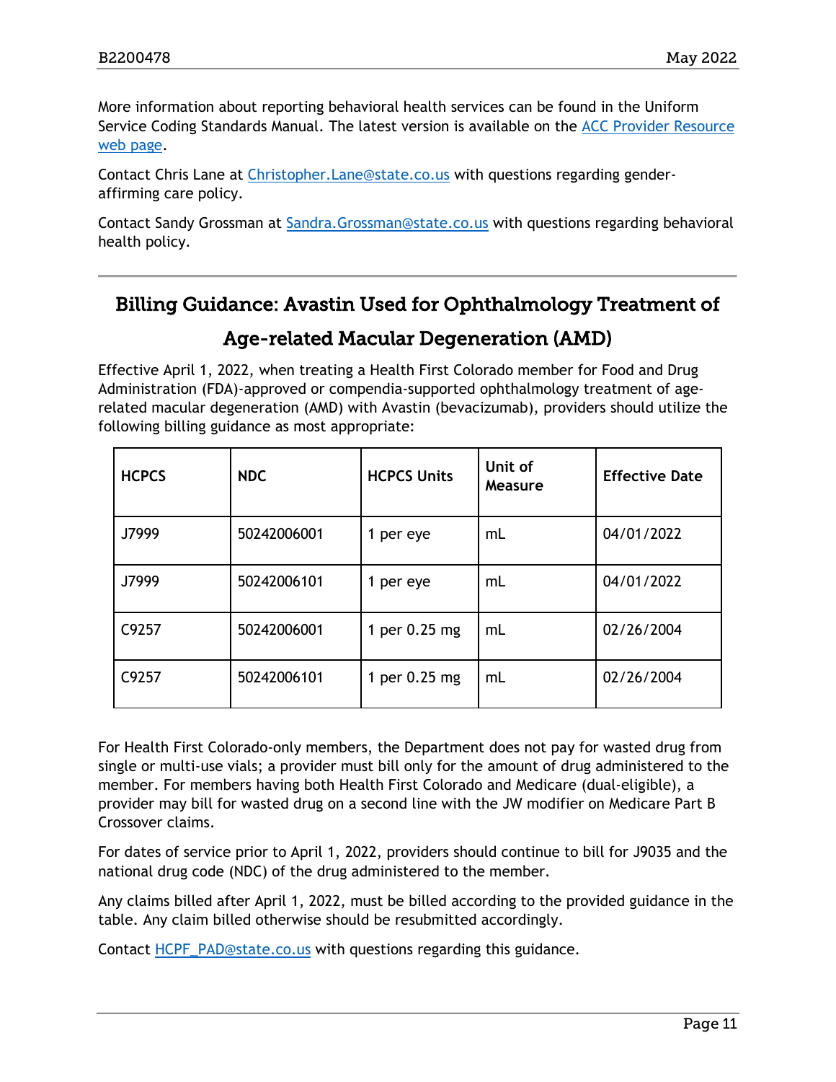More information about reporting behavioral health services can be found in the Uniform Service Coding Standards Manual. The latest version is available on the [ACC Provider Resource](https://hcpf.colorado.gov/accountable-care-collaborative-phase-ii-provider-and-stakeholder-resource-center)  [web page.](https://hcpf.colorado.gov/accountable-care-collaborative-phase-ii-provider-and-stakeholder-resource-center)

Contact Chris Lane at [Christopher.Lane@state.co.us](mailto:Christopher.Lane@state.co.us) with questions regarding genderaffirming care policy.

Contact Sandy Grossman at [Sandra.Grossman@state.co.us](mailto:Sandra.Grossman@state.co.us) with questions regarding behavioral health policy.

# Billing Guidance: Avastin Used for Ophthalmology Treatment of

### Age-related Macular Degeneration (AMD)

Effective April 1, 2022, when treating a Health First Colorado member for Food and Drug Administration (FDA)-approved or compendia-supported ophthalmology treatment of agerelated macular degeneration (AMD) with Avastin (bevacizumab), providers should utilize the following billing guidance as most appropriate:

| <b>HCPCS</b> | <b>NDC</b>  | <b>HCPCS Units</b> | Unit of<br><b>Measure</b> | <b>Effective Date</b> |
|--------------|-------------|--------------------|---------------------------|-----------------------|
| J7999        | 50242006001 | 1 per eye          | mL                        | 04/01/2022            |
| J7999        | 50242006101 | 1 per eye          | mL                        | 04/01/2022            |
| C9257        | 50242006001 | 1 per 0.25 mg      | mL                        | 02/26/2004            |
| C9257        | 50242006101 | 1 per 0.25 mg      | mL                        | 02/26/2004            |

For Health First Colorado-only members, the Department does not pay for wasted drug from single or multi-use vials; a provider must bill only for the amount of drug administered to the member. For members having both Health First Colorado and Medicare (dual-eligible), a provider may bill for wasted drug on a second line with the JW modifier on Medicare Part B Crossover claims.

For dates of service prior to April 1, 2022, providers should continue to bill for J9035 and the national drug code (NDC) of the drug administered to the member.

Any claims billed after April 1, 2022, must be billed according to the provided guidance in the table. Any claim billed otherwise should be resubmitted accordingly.

Contact [HCPF\\_PAD@state.co.us](mailto:HCPF_PAD@state.co.us) with questions regarding this guidance.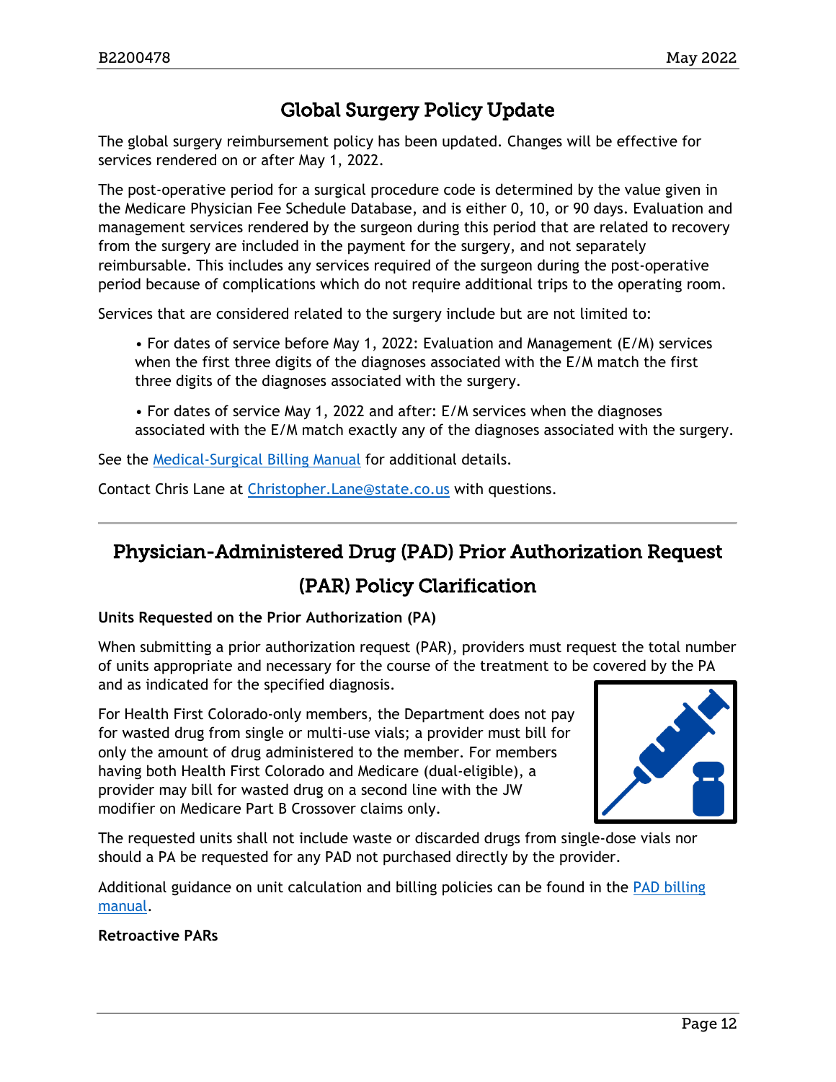# Global Surgery Policy Update

The global surgery reimbursement policy has been updated. Changes will be effective for services rendered on or after May 1, 2022.

The post-operative period for a surgical procedure code is determined by the value given in the Medicare Physician Fee Schedule Database, and is either 0, 10, or 90 days. Evaluation and management services rendered by the surgeon during this period that are related to recovery from the surgery are included in the payment for the surgery, and not separately reimbursable. This includes any services required of the surgeon during the post-operative period because of complications which do not require additional trips to the operating room.

Services that are considered related to the surgery include but are not limited to:

• For dates of service before May 1, 2022: Evaluation and Management (E/M) services when the first three digits of the diagnoses associated with the E/M match the first three digits of the diagnoses associated with the surgery.

• For dates of service May 1, 2022 and after: E/M services when the diagnoses associated with the E/M match exactly any of the diagnoses associated with the surgery.

See the [Medical-Surgical Billing Manual](https://hcpf.colorado.gov/med-surg-manual) for additional details.

Contact Chris Lane at [Christopher.Lane@state.co.us](mailto:Christopher.Lane@state.co.us) with questions.

# Physician-Administered Drug (PAD) Prior Authorization Request

### (PAR) Policy Clarification

#### **Units Requested on the Prior Authorization (PA)**

When submitting a prior authorization request (PAR), providers must request the total number of units appropriate and necessary for the course of the treatment to be covered by the PA and as indicated for the specified diagnosis.

For Health First Colorado-only members, the Department does not pay for wasted drug from single or multi-use vials; a provider must bill for only the amount of drug administered to the member. For members having both Health First Colorado and Medicare (dual-eligible), a provider may bill for wasted drug on a second line with the JW modifier on Medicare Part B Crossover claims only.



The requested units shall not include waste or discarded drugs from single-dose vials nor should a PA be requested for any PAD not purchased directly by the provider.

Additional guidance on unit calculation and billing policies can be found in the [PAD billing](https://hcpf.colorado.gov/pad-manual)  [manual.](https://hcpf.colorado.gov/pad-manual)

#### **Retroactive PARs**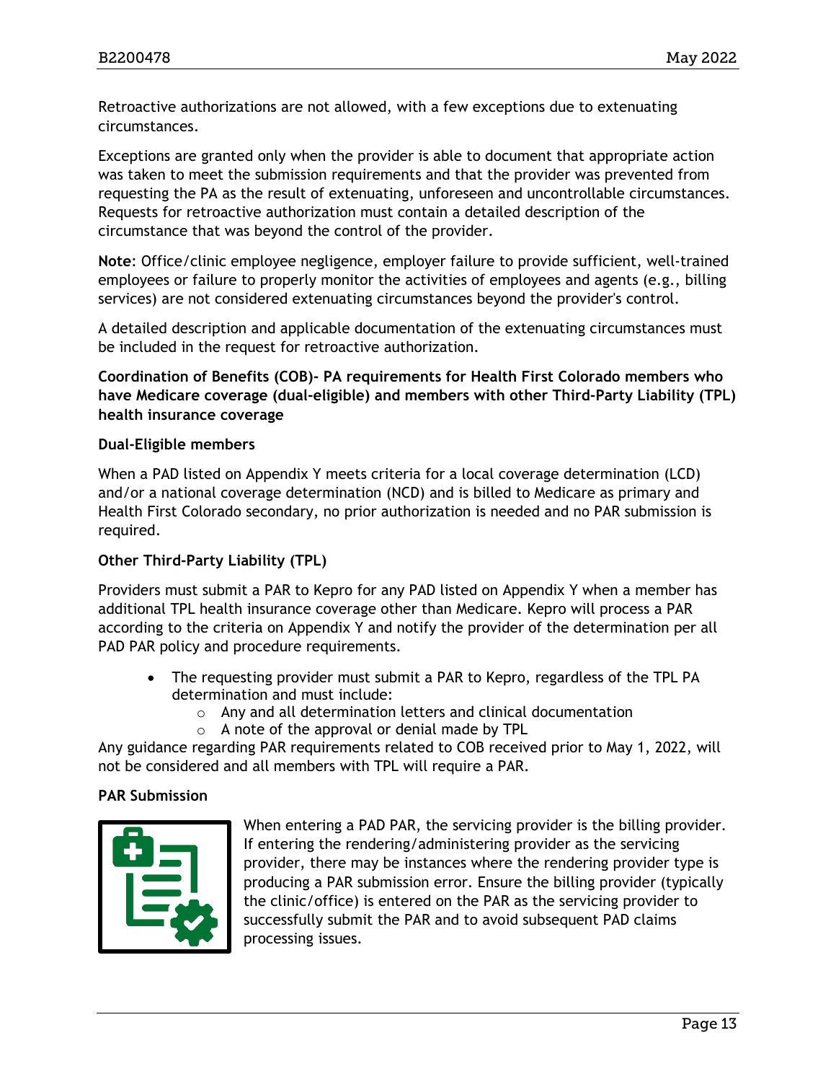Retroactive authorizations are not allowed, with a few exceptions due to extenuating circumstances.

Exceptions are granted only when the provider is able to document that appropriate action was taken to meet the submission requirements and that the provider was prevented from requesting the PA as the result of extenuating, unforeseen and uncontrollable circumstances. Requests for retroactive authorization must contain a detailed description of the circumstance that was beyond the control of the provider.

**Note**: Office/clinic employee negligence, employer failure to provide sufficient, well-trained employees or failure to properly monitor the activities of employees and agents (e.g., billing services) are not considered extenuating circumstances beyond the provider's control.

A detailed description and applicable documentation of the extenuating circumstances must be included in the request for retroactive authorization.

**Coordination of Benefits (COB)- PA requirements for Health First Colorado members who have Medicare coverage (dual-eligible) and members with other Third-Party Liability (TPL) health insurance coverage**

#### **Dual-Eligible members**

When a PAD listed on Appendix Y meets criteria for a local coverage determination (LCD) and/or a national coverage determination (NCD) and is billed to Medicare as primary and Health First Colorado secondary, no prior authorization is needed and no PAR submission is required.

#### **Other Third-Party Liability (TPL)**

Providers must submit a PAR to Kepro for any PAD listed on Appendix Y when a member has additional TPL health insurance coverage other than Medicare. Kepro will process a PAR according to the criteria on Appendix Y and notify the provider of the determination per all PAD PAR policy and procedure requirements.

- The requesting provider must submit a PAR to Kepro, regardless of the TPL PA determination and must include:
	- o Any and all determination letters and clinical documentation
	- o A note of the approval or denial made by TPL

Any guidance regarding PAR requirements related to COB received prior to May 1, 2022, will not be considered and all members with TPL will require a PAR.

#### **PAR Submission**



When entering a PAD PAR, the servicing provider is the billing provider. If entering the rendering/administering provider as the servicing provider, there may be instances where the rendering provider type is producing a PAR submission error. Ensure the billing provider (typically the clinic/office) is entered on the PAR as the servicing provider to successfully submit the PAR and to avoid subsequent PAD claims processing issues.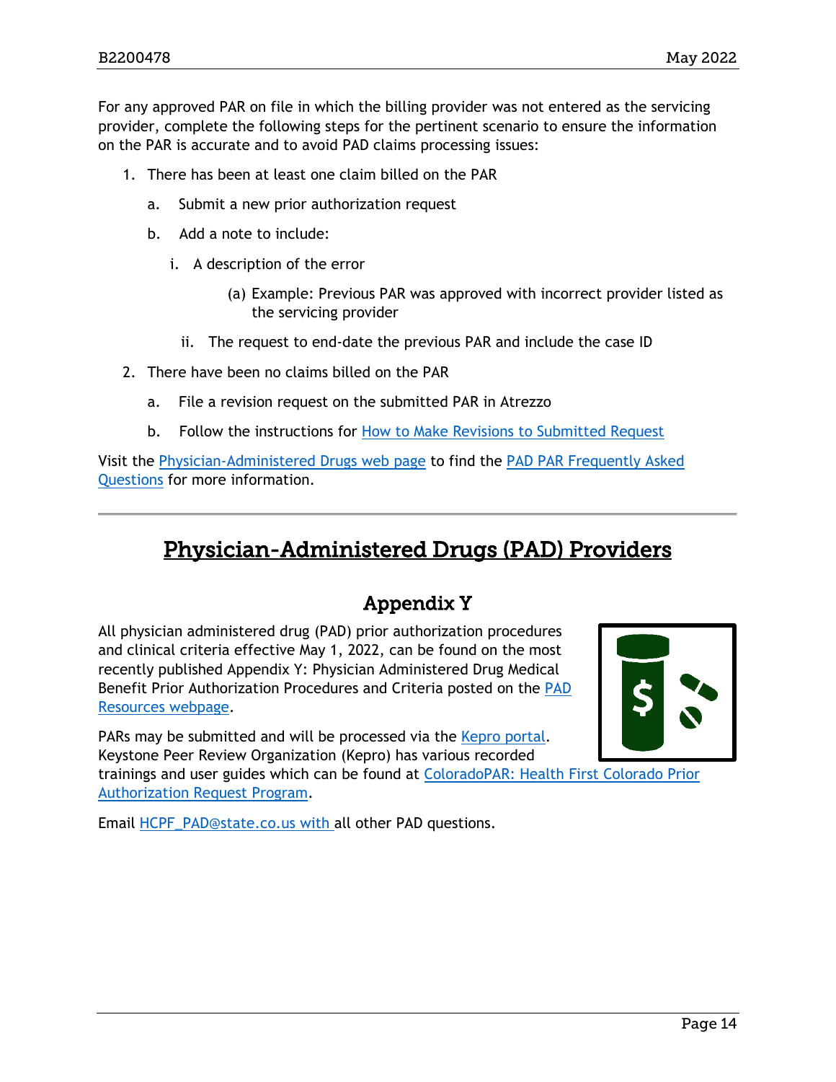For any approved PAR on file in which the billing provider was not entered as the servicing provider, complete the following steps for the pertinent scenario to ensure the information on the PAR is accurate and to avoid PAD claims processing issues:

- 1. There has been at least one claim billed on the PAR
	- a. Submit a new prior authorization request
	- b. Add a note to include:
		- i. A description of the error
			- (a) Example: Previous PAR was approved with incorrect provider listed as the servicing provider
			- ii. The request to end-date the previous PAR and include the case ID
- 2. There have been no claims billed on the PAR
	- a. File a revision request on the submitted PAR in Atrezzo
	- b. Follow the instructions for [How to Make Revisions to Submitted Request](https://hcpf.colorado.gov/sites/hcpf/files/How%20to%20Make%20Revisions%20to%20Submitted%20Requests.pdf)

Visit the [Physician-Administered Drugs web page](https://hcpf.colorado.com/physician-administered-drugs) to find the [PAD PAR Frequently Asked](https://hcpf.colorado.gov/sites/hcpf/files/PAD%20PAR%20Frequently%20Asked%20Questions_20220421.pdf)  [Questions](https://hcpf.colorado.gov/sites/hcpf/files/PAD%20PAR%20Frequently%20Asked%20Questions_20220421.pdf) for more information.

# <span id="page-13-1"></span>Physician-Administered Drugs (PAD) Providers

# Appendix Y

<span id="page-13-0"></span>All physician administered drug (PAD) prior authorization procedures and clinical criteria effective May 1, 2022, can be found on the most recently published Appendix Y: Physician Administered Drug Medical Benefit Prior Authorization Procedures and Criteria posted on the [PAD](https://hcpf.colorado.gov/physician-administered-drugs)  [Resources webpage.](https://hcpf.colorado.gov/physician-administered-drugs)

PARs may be submitted and will be processed via the [Kepro portal.](https://portal.kepro.com/) Keystone Peer Review Organization (Kepro) has various recorded

trainings and user guides which can be found at [ColoradoPAR: Health First Colorado Prior](https://hcpf.colorado.gov/par)  [Authorization Request Program.](https://hcpf.colorado.gov/par)

Email [HCPF\\_PAD@state.co.us](mailto:HCPF_PAD@state.co.us) with all other PAD questions.

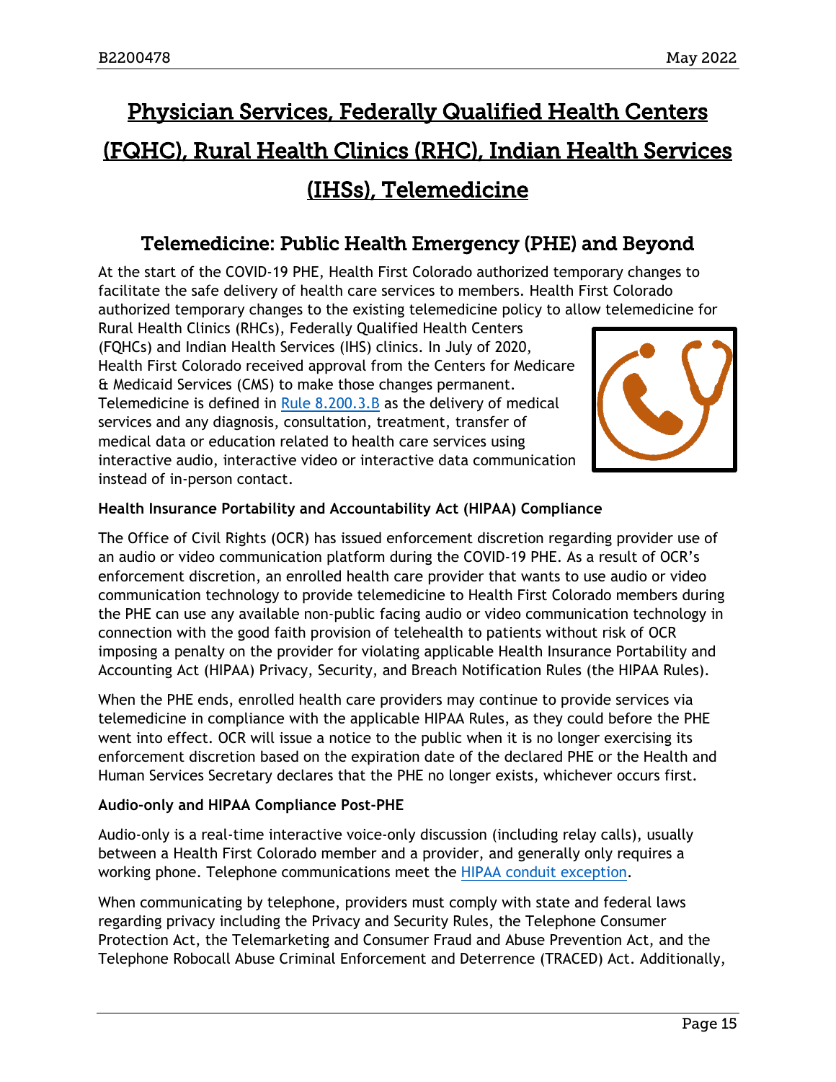# <span id="page-14-1"></span>Physician Services, Federally Qualified Health Centers (FQHC), Rural Health Clinics (RHC), Indian Health Services (IHSs), Telemedicine

### Telemedicine: Public Health Emergency (PHE) and Beyond

<span id="page-14-0"></span>At the start of the COVID-19 PHE, Health First Colorado authorized temporary changes to facilitate the safe delivery of health care services to members. Health First Colorado authorized temporary changes to the existing telemedicine policy to allow telemedicine for

Rural Health Clinics (RHCs), Federally Qualified Health Centers (FQHCs) and Indian Health Services (IHS) clinics. In July of 2020, Health First Colorado received approval from the Centers for Medicare & Medicaid Services (CMS) to make those changes permanent. Telemedicine is defined in [Rule 8.200.3.B](https://www.sos.state.co.us/CCR/GenerateRulePdf.do?ruleVersionId=9973&fileName=10%20CCR%202505-10%208.200) as the delivery of medical services and any diagnosis, consultation, treatment, transfer of medical data or education related to health care services using interactive audio, interactive video or interactive data communication instead of in-person contact.



#### **Health Insurance Portability and Accountability Act (HIPAA) Compliance**

The Office of Civil Rights (OCR) has issued enforcement discretion regarding provider use of an audio or video communication platform during the COVID-19 PHE. As a result of OCR's enforcement discretion, an enrolled health care provider that wants to use audio or video communication technology to provide telemedicine to Health First Colorado members during the PHE can use any available non-public facing audio or video communication technology in connection with the good faith provision of telehealth to patients without risk of OCR imposing a penalty on the provider for violating applicable Health Insurance Portability and Accounting Act (HIPAA) Privacy, Security, and Breach Notification Rules (the HIPAA Rules).

When the PHE ends, enrolled health care providers may continue to provide services via telemedicine in compliance with the applicable HIPAA Rules, as they could before the PHE went into effect. OCR will issue a notice to the public when it is no longer exercising its enforcement discretion based on the expiration date of the declared PHE or the Health and Human Services Secretary declares that the PHE no longer exists, whichever occurs first.

#### **Audio-only and HIPAA Compliance Post-PHE**

Audio-only is a real-time interactive voice-only discussion (including relay calls), usually between a Health First Colorado member and a provider, and generally only requires a working phone. Telephone communications meet the [HIPAA conduit exception.](https://www.govinfo.gov/content/pkg/FR-2013-01-25/pdf/2013-01073.pdf)

When communicating by telephone, providers must comply with state and federal laws regarding privacy including the Privacy and Security Rules, the Telephone Consumer Protection Act, the Telemarketing and Consumer Fraud and Abuse Prevention Act, and the Telephone Robocall Abuse Criminal Enforcement and Deterrence (TRACED) Act. Additionally,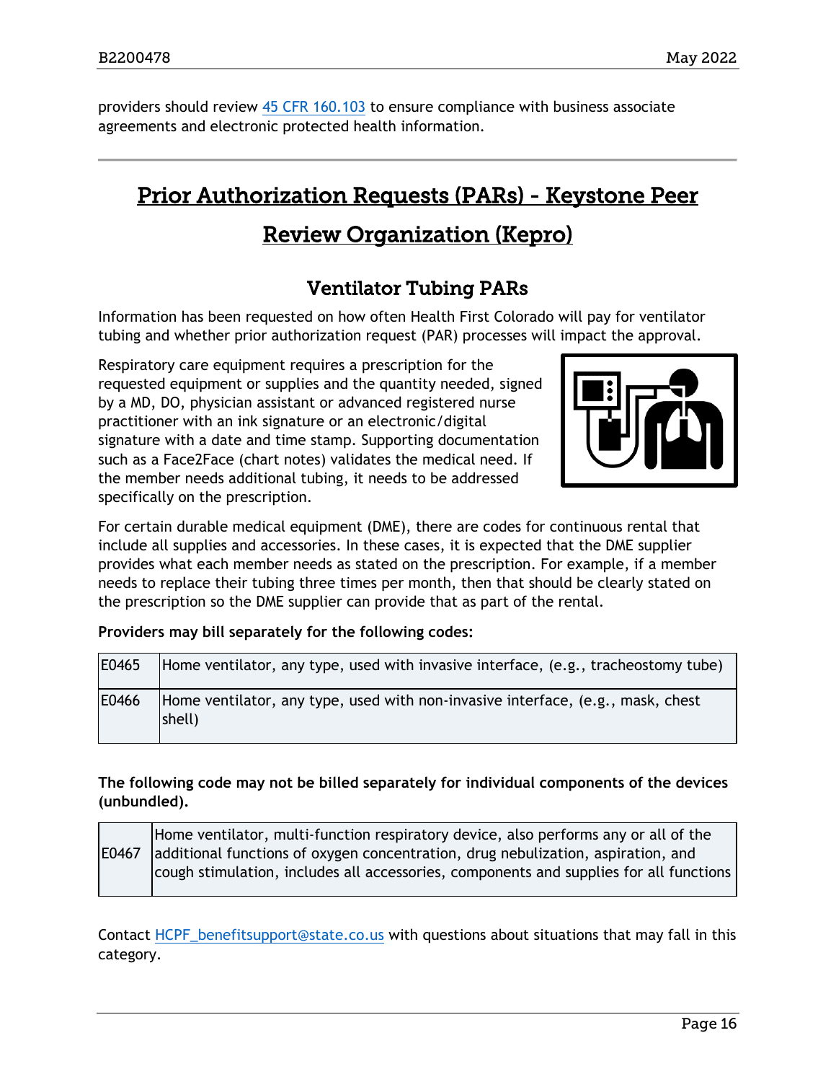providers should review [45 CFR 160.103](https://www.ecfr.gov/current/title-45/subtitle-A/subchapter-C/part-160/subpart-A/section-160.103) to ensure compliance with business associate agreements and electronic protected health information.

# <span id="page-15-1"></span>Prior Authorization Requests (PARs) - Keystone Peer

# Review Organization (Kepro)

# Ventilator Tubing PARs

<span id="page-15-0"></span>Information has been requested on how often Health First Colorado will pay for ventilator tubing and whether prior authorization request (PAR) processes will impact the approval.

Respiratory care equipment requires a prescription for the requested equipment or supplies and the quantity needed, signed by a MD, DO, physician assistant or advanced registered nurse practitioner with an ink signature or an electronic/digital signature with a date and time stamp. Supporting documentation such as a Face2Face (chart notes) validates the medical need. If the member needs additional tubing, it needs to be addressed specifically on the prescription.



For certain durable medical equipment (DME), there are codes for continuous rental that include all supplies and accessories. In these cases, it is expected that the DME supplier provides what each member needs as stated on the prescription. For example, if a member needs to replace their tubing three times per month, then that should be clearly stated on the prescription so the DME supplier can provide that as part of the rental.

#### **Providers may bill separately for the following codes:**

| E0465 | Home ventilator, any type, used with invasive interface, (e.g., tracheostomy tube)        |
|-------|-------------------------------------------------------------------------------------------|
| E0466 | Home ventilator, any type, used with non-invasive interface, (e.g., mask, chest<br>shell) |

#### **The following code may not be billed separately for individual components of the devices (unbundled).**

E0467 Home ventilator, multi-function respiratory device, also performs any or all of the additional functions of oxygen concentration, drug nebulization, aspiration, and cough stimulation, includes all accessories, components and supplies for all functions

Contact [HCPF\\_benefitsupport@state.co.us](mailto:HCPF_benefitsupport@state.co.us) with questions about situations that may fall in this category.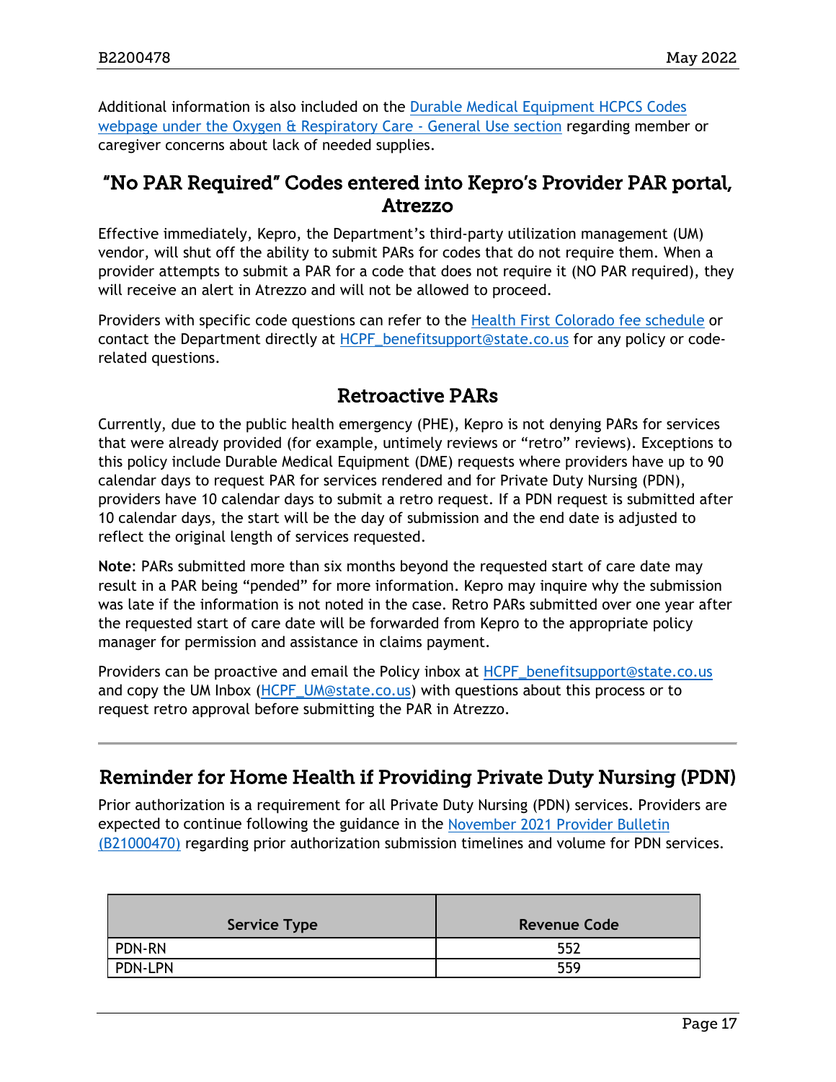Additional information is also included on the [Durable Medical Equipment HCPCS Codes](https://hcpf.colorado.gov/dme-hcpcs#O2)  [webpage](https://hcpf.colorado.gov/dme-hcpcs#O2) under the Oxygen & Respiratory Care - General Use section regarding member or caregiver concerns about lack of needed supplies.

### <span id="page-16-0"></span>"No PAR Required" Codes entered into Kepro's Provider PAR portal, Atrezzo

Effective immediately, Kepro, the Department's third-party utilization management (UM) vendor, will shut off the ability to submit PARs for codes that do not require them. When a provider attempts to submit a PAR for a code that does not require it (NO PAR required), they will receive an alert in Atrezzo and will not be allowed to proceed.

Providers with specific code questions can refer to the [Health First Colorado fee schedule](https://hcpf.colorado.gov/provider-rates-fee-schedule) or contact the Department directly at [HCPF\\_benefitsupport@state.co.us](mailto:HCPF_benefitsupport@state.co.us) for any policy or coderelated questions.

### Retroactive PARs

<span id="page-16-1"></span>Currently, due to the public health emergency (PHE), Kepro is not denying PARs for services that were already provided (for example, untimely reviews or "retro" reviews). Exceptions to this policy include Durable Medical Equipment (DME) requests where providers have up to 90 calendar days to request PAR for services rendered and for Private Duty Nursing (PDN), providers have 10 calendar days to submit a retro request. If a PDN request is submitted after 10 calendar days, the start will be the day of submission and the end date is adjusted to reflect the original length of services requested.

**Note**: PARs submitted more than six months beyond the requested start of care date may result in a PAR being "pended" for more information. Kepro may inquire why the submission was late if the information is not noted in the case. Retro PARs submitted over one year after the requested start of care date will be forwarded from Kepro to the appropriate policy manager for permission and assistance in claims payment.

Providers can be proactive and email the Policy inbox at [HCPF\\_benefitsupport@state.co.us](mailto:HCPF_benefitsupport@state.co.us) and copy the UM Inbox [\(HCPF\\_UM@state.co.us\)](mailto:HCPF_UM@state.co.us) with questions about this process or to request retro approval before submitting the PAR in Atrezzo.

### <span id="page-16-2"></span>Reminder for Home Health if Providing Private Duty Nursing (PDN)

Prior authorization is a requirement for all Private Duty Nursing (PDN) services. Providers are expected to continue following the guidance in the [November 2021 Provider Bulletin](https://hcpf.colorado.gov/sites/hcpf/files/Bulletin_1121_B2100470.pdf)  [\(B21000470\)](https://hcpf.colorado.gov/sites/hcpf/files/Bulletin_1121_B2100470.pdf) regarding prior authorization submission timelines and volume for PDN services.

| Service Type  | <b>Revenue Code</b> |
|---------------|---------------------|
| <b>PDN-RN</b> | 552                 |
| PDN-LPN       | 559                 |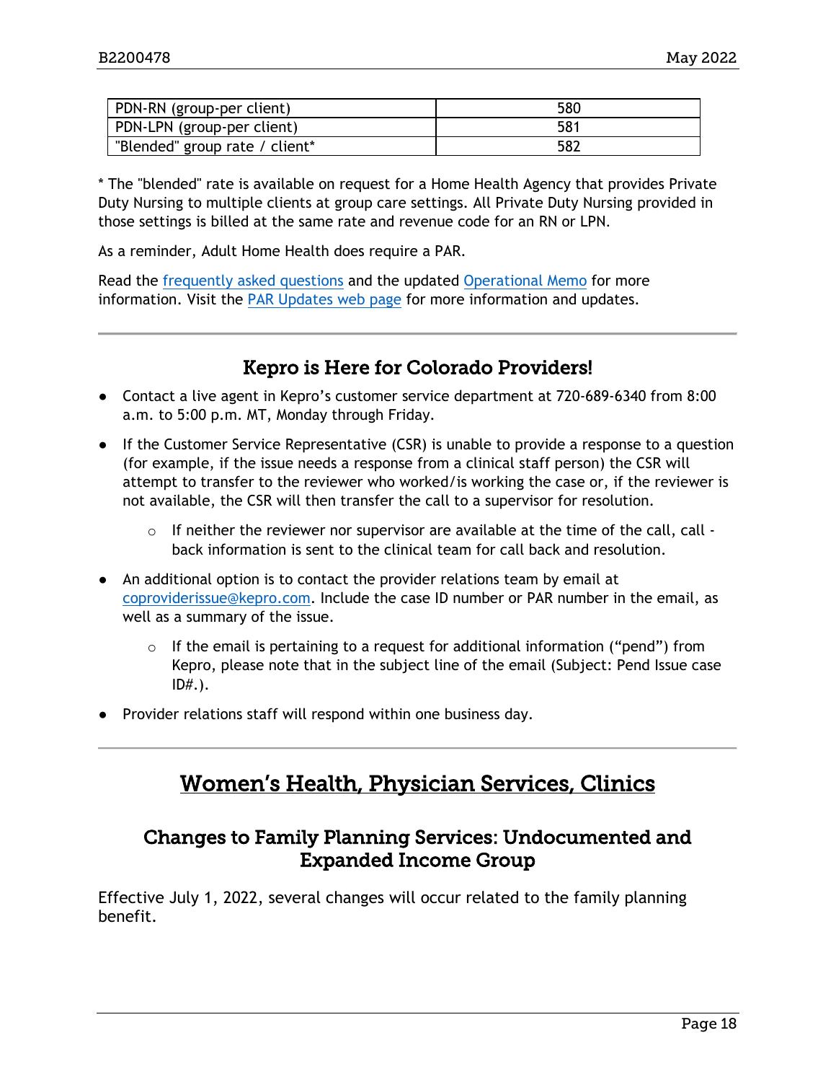| PDN-RN (group-per client)      | 580 |
|--------------------------------|-----|
| PDN-LPN (group-per client)     | 581 |
| "Blended" group rate / client* | 582 |

\* The "blended" rate is available on request for a Home Health Agency that provides Private Duty Nursing to multiple clients at group care settings. All Private Duty Nursing provided in those settings is billed at the same rate and revenue code for an RN or LPN.

As a reminder, Adult Home Health does require a PAR.

Read the [frequently asked questions](https://hcpf.colorado.gov/sites/hcpf/files/PARs_FAQs_3-8-22.pdf) and the updated [Operational Memo](https://hcpf.colorado.gov/sites/hcpf/files/Update%20Temporary%20Suspension%20of%20Prior%20Authorization%20Requirements%20for%20Pediatric%20Long-Term%20Home%20Health%203-8-2022.pdf) for more information. Visit the [PAR Updates web page](https://hcpf.colorado.gov/par-updates) for more information and updates.

### Kepro is Here for Colorado Providers!

- <span id="page-17-0"></span>● Contact a live agent in Kepro's customer service department at 720-689-6340 from 8:00 a.m. to 5:00 p.m. MT, Monday through Friday.
- If the Customer Service Representative (CSR) is unable to provide a response to a question (for example, if the issue needs a response from a clinical staff person) the CSR will attempt to transfer to the reviewer who worked/is working the case or, if the reviewer is not available, the CSR will then transfer the call to a supervisor for resolution.
	- $\circ$  If neither the reviewer nor supervisor are available at the time of the call, call back information is sent to the clinical team for call back and resolution.
- An additional option is to contact the provider relations team by email at [coproviderissue@kepro.com.](mailto:coproviderissue@kepro.com) Include the case ID number or PAR number in the email, as well as a summary of the issue.
	- o If the email is pertaining to a request for additional information ("pend") from Kepro, please note that in the subject line of the email (Subject: Pend Issue case ID#.).
- <span id="page-17-2"></span>● Provider relations staff will respond within one business day.

# Women's Health, Physician Services, Clinics

### <span id="page-17-1"></span>Changes to Family Planning Services: Undocumented and Expanded Income Group

Effective July 1, 2022, several changes will occur related to the family planning benefit.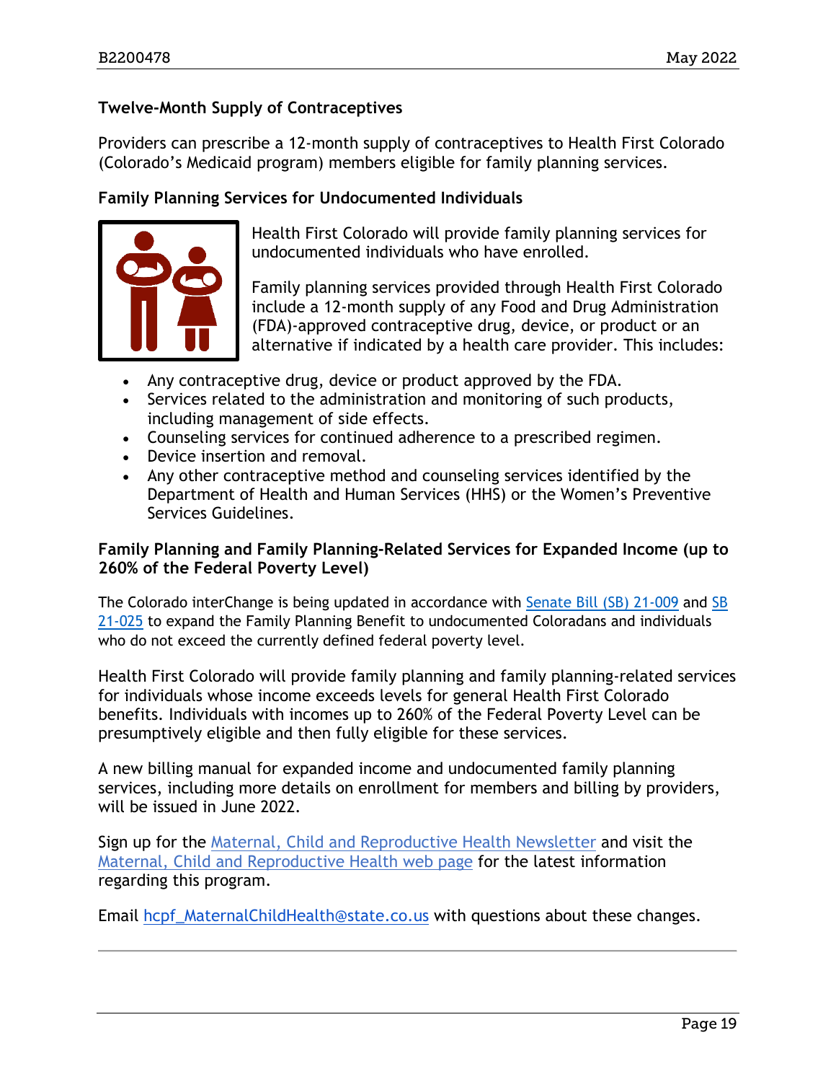#### **Twelve-Month Supply of Contraceptives**

Providers can prescribe a 12-month supply of contraceptives to Health First Colorado (Colorado's Medicaid program) members eligible for family planning services.

#### **Family Planning Services for Undocumented Individuals**



Health First Colorado will provide family planning services for undocumented individuals who have enrolled.

Family planning services provided through Health First Colorado include a 12-month supply of any Food and Drug Administration (FDA)-approved contraceptive drug, device, or product or an alternative if indicated by a health care provider. This includes:

- Any contraceptive drug, device or product approved by the FDA.
- Services related to the administration and monitoring of such products, including management of side effects.
- Counseling services for continued adherence to a prescribed regimen.
- Device insertion and removal.
- Any other contraceptive method and counseling services identified by the Department of Health and Human Services (HHS) or the Women's Preventive Services Guidelines.

#### **Family Planning and Family Planning-Related Services for Expanded Income (up to 260% of the Federal Poverty Level)**

The Colorado interChange is being updated in accordance with [Senate Bill \(SB\) 21-009](https://leg.colorado.gov/bills/sb21-009) and [SB](https://leg.colorado.gov/bills/sb21-025)  [21-025](https://leg.colorado.gov/bills/sb21-025) to expand the Family Planning Benefit to undocumented Coloradans and individuals who do not exceed the currently defined federal poverty level.

Health First Colorado will provide family planning and family planning-related services for individuals whose income exceeds levels for general Health First Colorado benefits. Individuals with incomes up to 260% of the Federal Poverty Level can be presumptively eligible and then fully eligible for these services.

A new billing manual for expanded income and undocumented family planning services, including more details on enrollment for members and billing by providers, will be issued in June 2022.

Sign up for the [Maternal, Child and Reproductive Health Newsletter](https://docs.google.com/forms/d/e/1FAIpQLSffpGQS0rFaTUjD7Vv-W4XwVNd8Pef8ubbhq5sqBawEczHo8g/viewform?usp=sf_link) and visit the [Maternal, Child and Reproductive Health web page](https://hcpf.colorado.gov/maternal-child-and-reproductive-health) for the latest information regarding this program.

Email [hcpf\\_MaternalChildHealth@state.co.us](mailto:hcpf_MaternalChildHealth@state.co.us) with questions about these changes.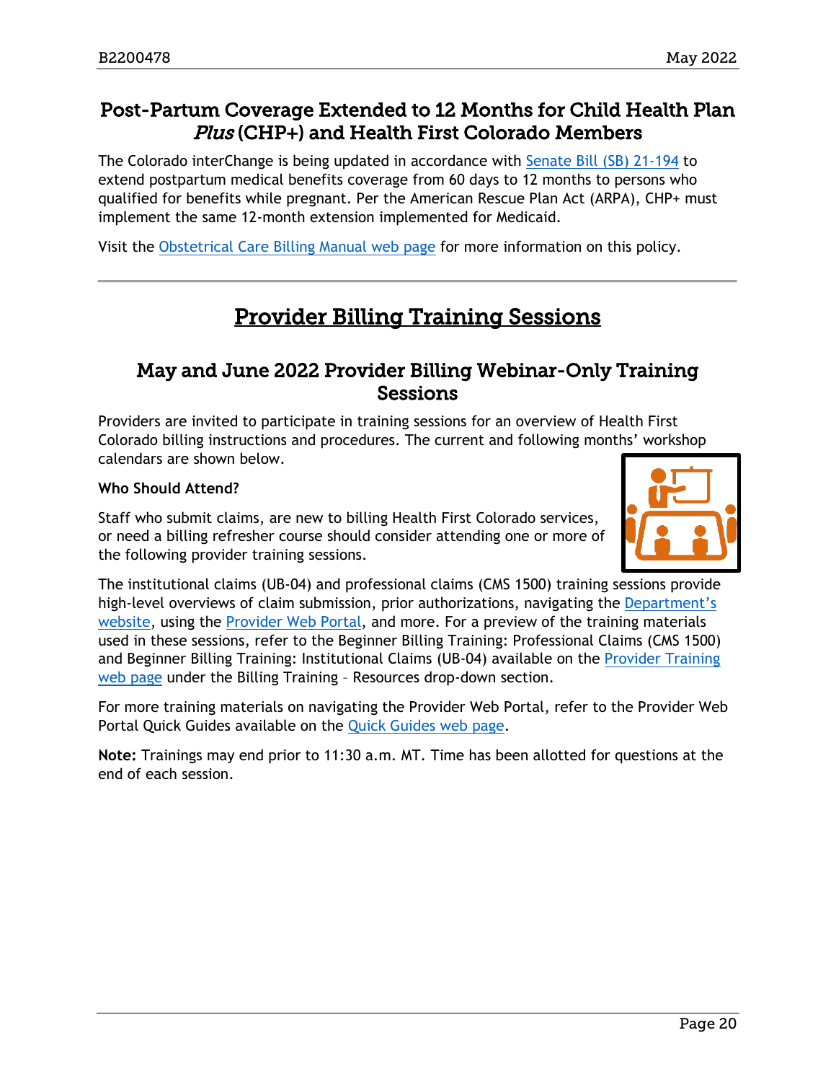### <span id="page-19-0"></span>Post-Partum Coverage Extended to 12 Months for Child Health Plan Plus (CHP+) and Health First Colorado Members

The Colorado interChange is being updated in accordance with [Senate Bill \(SB\) 21-194](https://leg.colorado.gov/bills/sb21-194) to extend postpartum medical benefits coverage from 60 days to 12 months to persons who qualified for benefits while pregnant. Per the American Rescue Plan Act (ARPA), CHP+ must implement the same 12-month extension implemented for Medicaid.

<span id="page-19-2"></span>Visit the [Obstetrical Care Billing Manual web page](https://hcpf.colorado.gov/OB-manual) for more information on this policy.

# Provider Billing Training Sessions

### <span id="page-19-1"></span>May and June 2022 Provider Billing Webinar-Only Training **Sessions**

Providers are invited to participate in training sessions for an overview of Health First Colorado billing instructions and procedures. The current and following months' workshop calendars are shown below.

#### **Who Should Attend?**

Staff who submit claims, are new to billing Health First Colorado services, or need a billing refresher course should consider attending one or more of the following provider training sessions.



The institutional claims (UB-04) and professional claims (CMS 1500) training sessions provide high-level overviews of claim submission, prior authorizations, navigating the Department's [website,](https://www.colorado.gov/hcpf/) using the [Provider Web Portal,](https://colorado-hcp-portal.xco.dcs-usps.com/hcp/provider/Home/tabid/135/Default.aspx) and more. For a preview of the training materials used in these sessions, refer to the Beginner Billing Training: Professional Claims (CMS 1500) and Beginner Billing Training: Institutional Claims (UB-04) available on the [Provider Training](https://www.colorado.gov/pacific/hcpf/provider-training)  [web page](https://www.colorado.gov/pacific/hcpf/provider-training) under the Billing Training – Resources drop-down section.

For more training materials on navigating the Provider Web Portal, refer to the Provider Web Portal Quick Guides available on the [Quick Guides web page.](https://www.colorado.gov/hcpf/interchange-resources)

**Note:** Trainings may end prior to 11:30 a.m. MT. Time has been allotted for questions at the end of each session.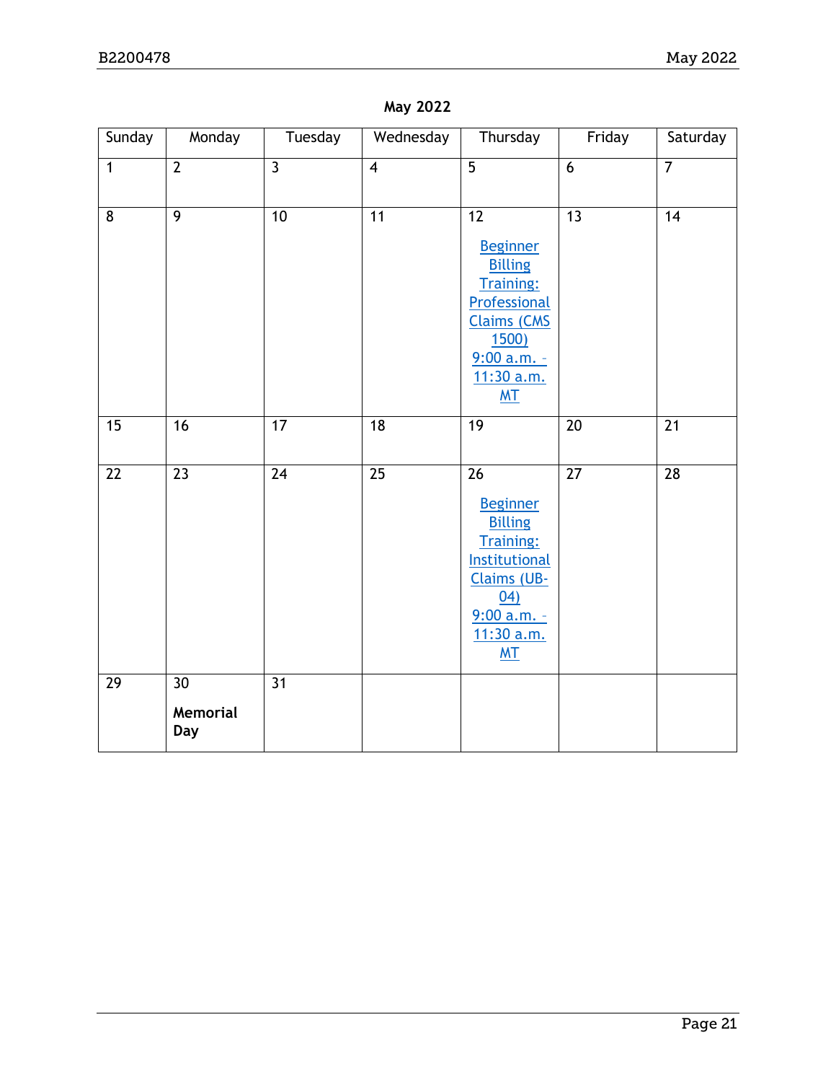| Sunday          | Monday                       | Tuesday         | Wednesday       | Thursday                                                                                                                                                                       | Friday          | Saturday        |
|-----------------|------------------------------|-----------------|-----------------|--------------------------------------------------------------------------------------------------------------------------------------------------------------------------------|-----------------|-----------------|
| $\overline{1}$  | $\overline{2}$               | $\overline{3}$  | $\overline{4}$  | $\overline{5}$                                                                                                                                                                 | $\overline{6}$  | $\overline{7}$  |
| $\overline{8}$  | $\overline{9}$               | 10              | $\overline{11}$ | $\overline{12}$<br><b>Beginner</b><br><b>Billing</b><br><b>Training:</b><br>Professional<br><b>Claims (CMS</b><br><b>1500)</b><br>$9:00 a.m. -$<br>11:30 a.m.<br><b>MT</b>     | $\overline{13}$ | $\overline{14}$ |
| 15              | $\overline{16}$              | $\overline{17}$ | $\overline{18}$ | $\overline{19}$                                                                                                                                                                | $\overline{20}$ | $\overline{21}$ |
| $\overline{22}$ | $\overline{23}$              | $\overline{24}$ | $\overline{25}$ | $\overline{26}$<br><b>Beginner</b><br><b>Billing</b><br><b>Training:</b><br><b>Institutional</b><br><b>Claims (UB-</b><br>04)<br>$9:00 a.m. -$<br>11:30 a.m.<br>M <sub>T</sub> | $\overline{27}$ | $\overline{28}$ |
| 29              | 30<br><b>Memorial</b><br>Day | 31              |                 |                                                                                                                                                                                |                 |                 |

#### **May 2022**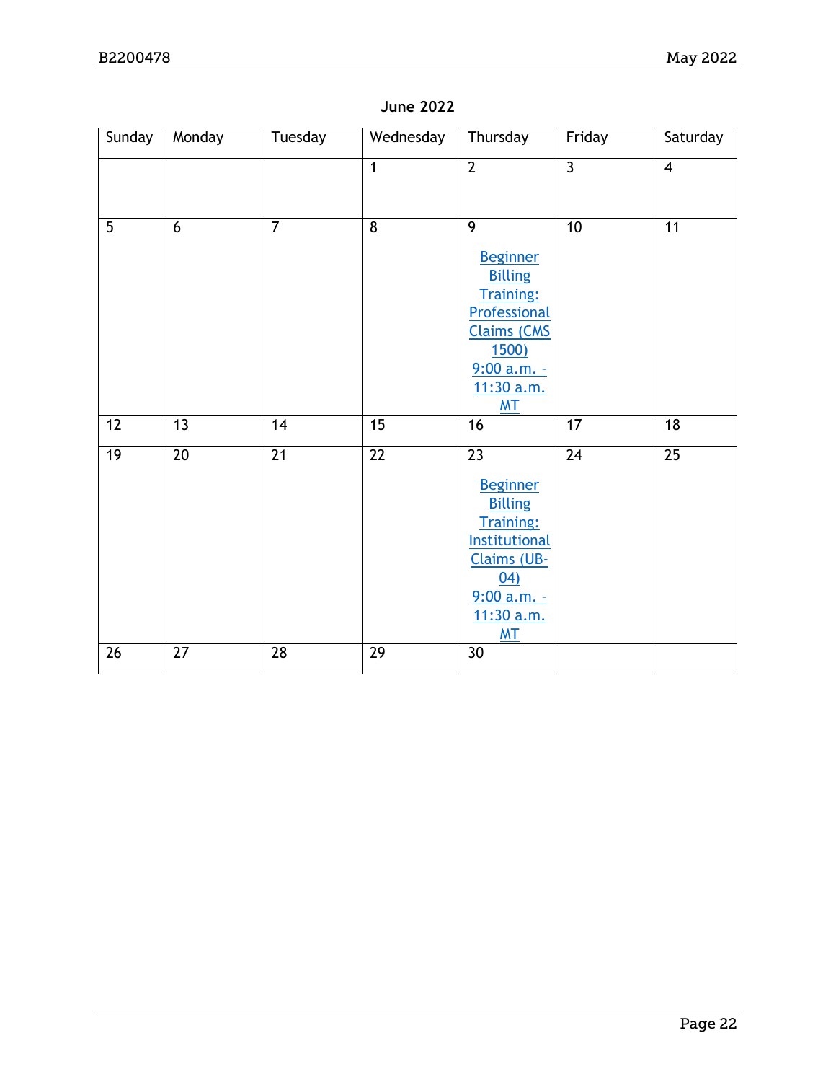| Sunday | Monday          | Tuesday         | Wednesday       | Thursday                                                                                                                                                                       | Friday          | Saturday        |
|--------|-----------------|-----------------|-----------------|--------------------------------------------------------------------------------------------------------------------------------------------------------------------------------|-----------------|-----------------|
|        |                 |                 | $\mathbf{1}$    | $\overline{2}$                                                                                                                                                                 | $\overline{3}$  | $\overline{4}$  |
| 5      | 6               | $\overline{7}$  | $\overline{8}$  | $\overline{9}$<br><b>Beginner</b><br><b>Billing</b><br><b>Training:</b><br>Professional<br><b>Claims (CMS</b><br><b>1500)</b><br>$9:00 a.m. -$<br>11:30 a.m.<br>M <sub>T</sub> | 10              | 11              |
| 12     | 13              | 14              | $\overline{15}$ | 16                                                                                                                                                                             | $\overline{17}$ | $\overline{18}$ |
| 19     | $\overline{20}$ | $\overline{21}$ | $\overline{22}$ | $\overline{23}$<br><b>Beginner</b><br><b>Billing</b><br><b>Training:</b><br><b>Institutional</b><br>Claims (UB-<br>04)<br>9:00 a.m. -<br>11:30 a.m.<br><b>MT</b>               | $\overline{24}$ | $\overline{25}$ |
| 26     | 27              | 28              | $\overline{29}$ | 30                                                                                                                                                                             |                 |                 |

#### **June 2022**